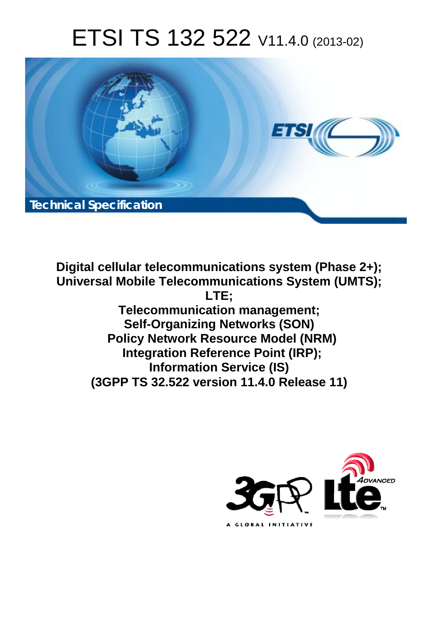# ETSI TS 132 522 V11.4.0 (2013-02)



**Digital cellular telecommunications system (Phase 2+); Universal Mobile Telecommunications System (UMTS); LTE; Telecommunication management; Self-Organizing Networks (SON) Policy Network Resource Model (NRM) Integration Reference Point (IRP); Information Service (IS) (3GPP TS 32.522 version 11.4.0 Release 11)** 

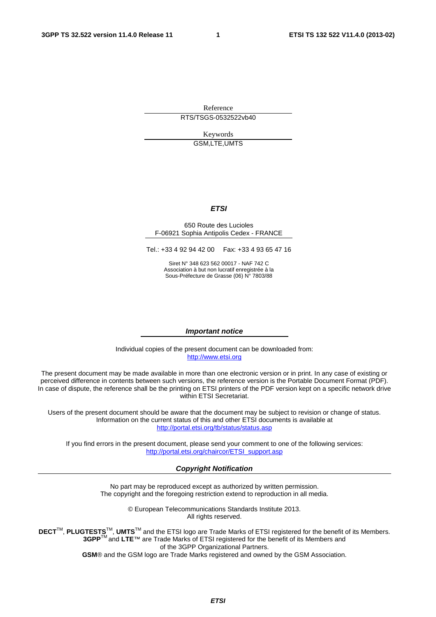Reference RTS/TSGS-0532522vb40

> Keywords GSM,LTE,UMTS

#### *ETSI*

#### 650 Route des Lucioles F-06921 Sophia Antipolis Cedex - FRANCE

Tel.: +33 4 92 94 42 00 Fax: +33 4 93 65 47 16

Siret N° 348 623 562 00017 - NAF 742 C Association à but non lucratif enregistrée à la Sous-Préfecture de Grasse (06) N° 7803/88

#### *Important notice*

Individual copies of the present document can be downloaded from: [http://www.etsi.org](http://www.etsi.org/)

The present document may be made available in more than one electronic version or in print. In any case of existing or perceived difference in contents between such versions, the reference version is the Portable Document Format (PDF). In case of dispute, the reference shall be the printing on ETSI printers of the PDF version kept on a specific network drive within ETSI Secretariat.

Users of the present document should be aware that the document may be subject to revision or change of status. Information on the current status of this and other ETSI documents is available at <http://portal.etsi.org/tb/status/status.asp>

If you find errors in the present document, please send your comment to one of the following services: [http://portal.etsi.org/chaircor/ETSI\\_support.asp](http://portal.etsi.org/chaircor/ETSI_support.asp)

#### *Copyright Notification*

No part may be reproduced except as authorized by written permission. The copyright and the foregoing restriction extend to reproduction in all media.

> © European Telecommunications Standards Institute 2013. All rights reserved.

DECT<sup>™</sup>, PLUGTESTS<sup>™</sup>, UMTS<sup>™</sup> and the ETSI logo are Trade Marks of ETSI registered for the benefit of its Members. **3GPP**TM and **LTE**™ are Trade Marks of ETSI registered for the benefit of its Members and of the 3GPP Organizational Partners.

**GSM**® and the GSM logo are Trade Marks registered and owned by the GSM Association.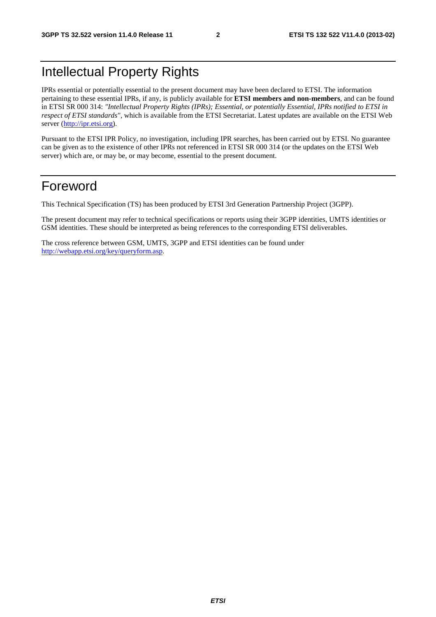# Intellectual Property Rights

IPRs essential or potentially essential to the present document may have been declared to ETSI. The information pertaining to these essential IPRs, if any, is publicly available for **ETSI members and non-members**, and can be found in ETSI SR 000 314: *"Intellectual Property Rights (IPRs); Essential, or potentially Essential, IPRs notified to ETSI in respect of ETSI standards"*, which is available from the ETSI Secretariat. Latest updates are available on the ETSI Web server ([http://ipr.etsi.org\)](http://webapp.etsi.org/IPR/home.asp).

Pursuant to the ETSI IPR Policy, no investigation, including IPR searches, has been carried out by ETSI. No guarantee can be given as to the existence of other IPRs not referenced in ETSI SR 000 314 (or the updates on the ETSI Web server) which are, or may be, or may become, essential to the present document.

# Foreword

This Technical Specification (TS) has been produced by ETSI 3rd Generation Partnership Project (3GPP).

The present document may refer to technical specifications or reports using their 3GPP identities, UMTS identities or GSM identities. These should be interpreted as being references to the corresponding ETSI deliverables.

The cross reference between GSM, UMTS, 3GPP and ETSI identities can be found under [http://webapp.etsi.org/key/queryform.asp.](http://webapp.etsi.org/key/queryform.asp)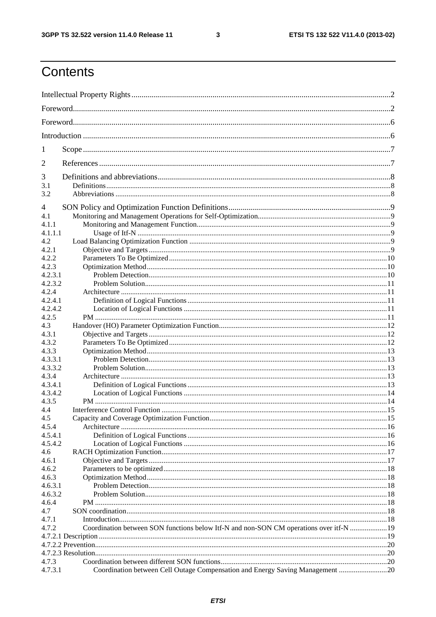$\mathbf{3}$ 

# Contents

| 1                  |                                                                                         |  |  |
|--------------------|-----------------------------------------------------------------------------------------|--|--|
| 2                  |                                                                                         |  |  |
| 3                  |                                                                                         |  |  |
| 3.1<br>3.2         |                                                                                         |  |  |
| $\overline{4}$     |                                                                                         |  |  |
| 4.1                |                                                                                         |  |  |
| 4.1.1              |                                                                                         |  |  |
| 4.1.1.1            |                                                                                         |  |  |
| 4.2                |                                                                                         |  |  |
| 4.2.1              |                                                                                         |  |  |
| 4.2.2              |                                                                                         |  |  |
| 4.2.3              |                                                                                         |  |  |
| 4.2.3.1            |                                                                                         |  |  |
| 4.2.3.2            |                                                                                         |  |  |
| 4.2.4              |                                                                                         |  |  |
| 4.2.4.1            |                                                                                         |  |  |
| 4.2.4.2            |                                                                                         |  |  |
| 4.2.5              |                                                                                         |  |  |
| 4.3                |                                                                                         |  |  |
| 4.3.1              |                                                                                         |  |  |
| 4.3.2              |                                                                                         |  |  |
| 4.3.3              |                                                                                         |  |  |
| 4.3.3.1<br>4.3.3.2 |                                                                                         |  |  |
| 4.3.4              |                                                                                         |  |  |
| 4.3.4.1            |                                                                                         |  |  |
| 4.3.4.2            |                                                                                         |  |  |
| 4.3.5              |                                                                                         |  |  |
| 4.4                |                                                                                         |  |  |
| 4.5                |                                                                                         |  |  |
| 4.5.4              |                                                                                         |  |  |
| 4.5.4.1            |                                                                                         |  |  |
| 4.5.4.2            |                                                                                         |  |  |
| 4.6                |                                                                                         |  |  |
| 4.6.1              |                                                                                         |  |  |
| 4.6.2              |                                                                                         |  |  |
| 4.6.3              |                                                                                         |  |  |
| 4.6.3.1            |                                                                                         |  |  |
| 4.6.3.2            |                                                                                         |  |  |
| 4.6.4              |                                                                                         |  |  |
| 4.7                |                                                                                         |  |  |
| 4.7.1              |                                                                                         |  |  |
| 4.7.2              | Coordination between SON functions below Itf-N and non-SON CM operations over itf-N  19 |  |  |
|                    |                                                                                         |  |  |
|                    |                                                                                         |  |  |
|                    |                                                                                         |  |  |
| 4.7.3              |                                                                                         |  |  |
| 4.7.3.1            | Coordination between Cell Outage Compensation and Energy Saving Management 20           |  |  |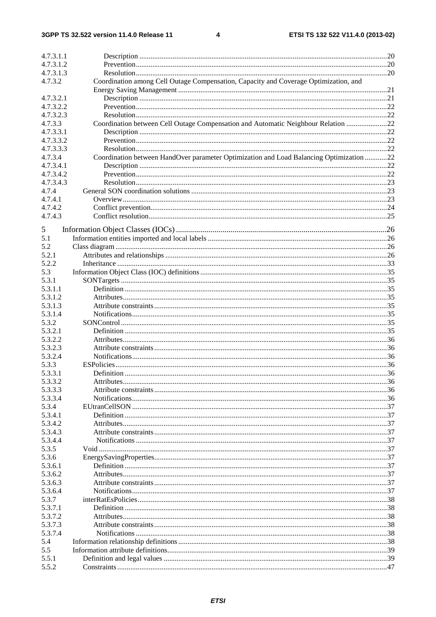| 4.7.3.1.1          |                                                                                         |  |
|--------------------|-----------------------------------------------------------------------------------------|--|
| 4.7.3.1.2          |                                                                                         |  |
| 4.7.3.1.3          |                                                                                         |  |
| 4.7.3.2            | Coordination among Cell Outage Compensation, Capacity and Coverage Optimization, and    |  |
|                    |                                                                                         |  |
| 4.7.3.2.1          |                                                                                         |  |
| 4.7.3.2.2          |                                                                                         |  |
| 4.7.3.2.3          |                                                                                         |  |
| 4.7.3.3            | Coordination between Cell Outage Compensation and Automatic Neighbour Relation 22       |  |
| 4.7.3.3.1          |                                                                                         |  |
| 4.7.3.3.2          |                                                                                         |  |
| 4.7.3.3.3          |                                                                                         |  |
| 4.7.3.4            | Coordination between HandOver parameter Optimization and Load Balancing Optimization 22 |  |
| 4.7.3.4.1          |                                                                                         |  |
| 4.7.3.4.2          |                                                                                         |  |
| 4.7.3.4.3          |                                                                                         |  |
| 4.7.4              |                                                                                         |  |
| 4.7.4.1            |                                                                                         |  |
| 4.7.4.2            |                                                                                         |  |
| 4.7.4.3            |                                                                                         |  |
| 5                  |                                                                                         |  |
| 5.1                |                                                                                         |  |
| 5.2                |                                                                                         |  |
| 5.2.1              |                                                                                         |  |
| 5.2.2              |                                                                                         |  |
| 5.3                |                                                                                         |  |
|                    |                                                                                         |  |
| 5.3.1              |                                                                                         |  |
| 5.3.1.1            |                                                                                         |  |
| 5.3.1.2            |                                                                                         |  |
| 5.3.1.3<br>5.3.1.4 |                                                                                         |  |
| 5.3.2              |                                                                                         |  |
| 5.3.2.1            |                                                                                         |  |
| 5.3.2.2            |                                                                                         |  |
| 5.3.2.3            |                                                                                         |  |
| 5.3.2.4            |                                                                                         |  |
| 5.3.3              |                                                                                         |  |
| 5.3.3.1            |                                                                                         |  |
| 5.3.3.2            |                                                                                         |  |
| 5.3.3.3            |                                                                                         |  |
| 5.3.3.4            |                                                                                         |  |
| 5.3.4              |                                                                                         |  |
| 5.3.4.1            |                                                                                         |  |
| 5.3.4.2            |                                                                                         |  |
| 5.3.4.3            |                                                                                         |  |
| 5.3.4.4            |                                                                                         |  |
| 5.3.5              |                                                                                         |  |
| 5.3.6              |                                                                                         |  |
| 5.3.6.1            |                                                                                         |  |
| 5.3.6.2            |                                                                                         |  |
| 5.3.6.3            |                                                                                         |  |
| 5.3.6.4            |                                                                                         |  |
| 5.3.7              |                                                                                         |  |
| 5.3.7.1            |                                                                                         |  |
| 5.3.7.2            |                                                                                         |  |
| 5.3.7.3            |                                                                                         |  |
| 5.3.7.4            |                                                                                         |  |
| 5.4                |                                                                                         |  |
| 5.5                |                                                                                         |  |
| 5.5.1              |                                                                                         |  |
| 5.5.2              |                                                                                         |  |
|                    |                                                                                         |  |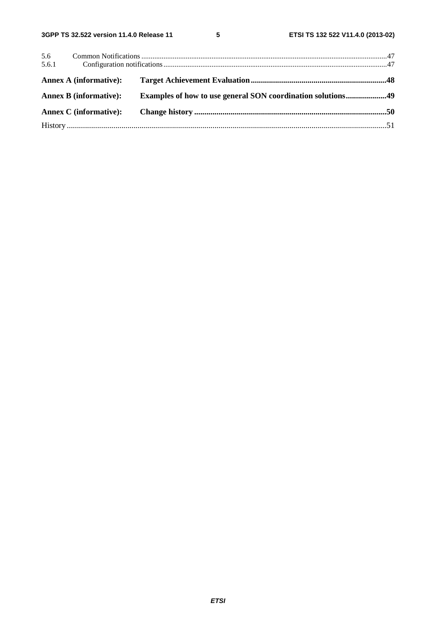| 5.6<br>5.6.1                  |                                                             |  |
|-------------------------------|-------------------------------------------------------------|--|
| <b>Annex A (informative):</b> |                                                             |  |
| <b>Annex B</b> (informative): | Examples of how to use general SON coordination solutions49 |  |
| <b>Annex C</b> (informative): |                                                             |  |
|                               |                                                             |  |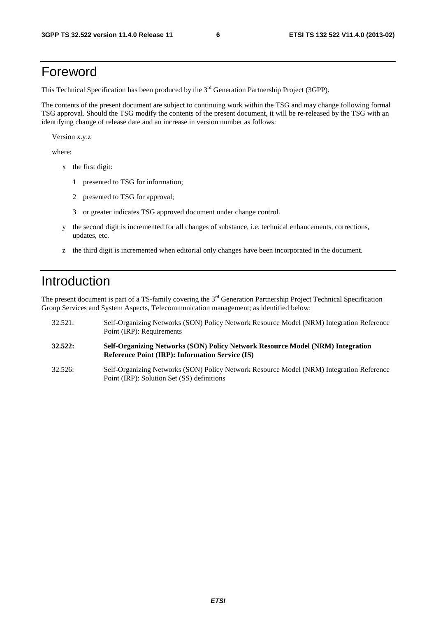### Foreword

This Technical Specification has been produced by the 3<sup>rd</sup> Generation Partnership Project (3GPP).

The contents of the present document are subject to continuing work within the TSG and may change following formal TSG approval. Should the TSG modify the contents of the present document, it will be re-released by the TSG with an identifying change of release date and an increase in version number as follows:

Version x.y.z

where:

- x the first digit:
	- 1 presented to TSG for information;
	- 2 presented to TSG for approval;
	- 3 or greater indicates TSG approved document under change control.
- y the second digit is incremented for all changes of substance, i.e. technical enhancements, corrections, updates, etc.
- z the third digit is incremented when editorial only changes have been incorporated in the document.

# Introduction

The present document is part of a TS-family covering the 3<sup>rd</sup> Generation Partnership Project Technical Specification Group Services and System Aspects, Telecommunication management; as identified below:

- 32.521: Self-Organizing Networks (SON) Policy Network Resource Model (NRM) Integration Reference Point (IRP): Requirements
- **32.522: Self-Organizing Networks (SON) Policy Network Resource Model (NRM) Integration Reference Point (IRP): Information Service (IS)**
- 32.526: Self-Organizing Networks (SON) Policy Network Resource Model (NRM) Integration Reference Point (IRP): Solution Set (SS) definitions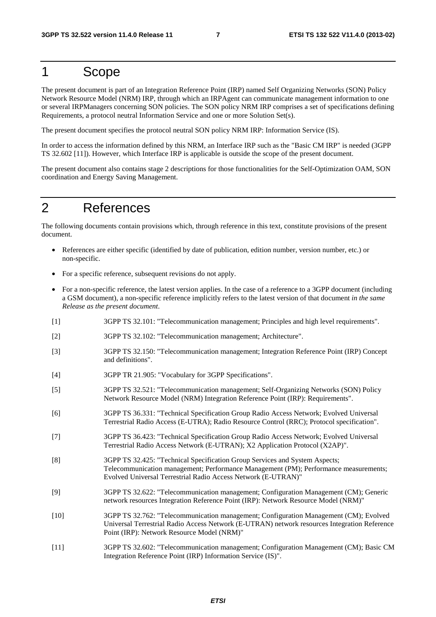# 1 Scope

The present document is part of an Integration Reference Point (IRP) named Self Organizing Networks (SON) Policy Network Resource Model (NRM) IRP, through which an IRPAgent can communicate management information to one or several IRPManagers concerning SON policies. The SON policy NRM IRP comprises a set of specifications defining Requirements, a protocol neutral Information Service and one or more Solution Set(s).

The present document specifies the protocol neutral SON policy NRM IRP: Information Service (IS).

In order to access the information defined by this NRM, an Interface IRP such as the "Basic CM IRP" is needed (3GPP TS 32.602 [11]). However, which Interface IRP is applicable is outside the scope of the present document.

The present document also contains stage 2 descriptions for those functionalities for the Self-Optimization OAM, SON coordination and Energy Saving Management.

# 2 References

The following documents contain provisions which, through reference in this text, constitute provisions of the present document.

- References are either specific (identified by date of publication, edition number, version number, etc.) or non-specific.
- For a specific reference, subsequent revisions do not apply.
- For a non-specific reference, the latest version applies. In the case of a reference to a 3GPP document (including a GSM document), a non-specific reference implicitly refers to the latest version of that document *in the same Release as the present document*.
- [1] 3GPP TS 32.101: "Telecommunication management; Principles and high level requirements".
- [2] 3GPP TS 32.102: "Telecommunication management; Architecture".
- [3] 3GPP TS 32.150: "Telecommunication management; Integration Reference Point (IRP) Concept and definitions".
- [4] 3GPP TR 21.905: "Vocabulary for 3GPP Specifications".
- [5] 3GPP TS 32.521: "Telecommunication management; Self-Organizing Networks (SON) Policy Network Resource Model (NRM) Integration Reference Point (IRP): Requirements".
- [6] 3GPP TS 36.331: "Technical Specification Group Radio Access Network; Evolved Universal Terrestrial Radio Access (E-UTRA); Radio Resource Control (RRC); Protocol specification".
- [7] 3GPP TS 36.423: "Technical Specification Group Radio Access Network; Evolved Universal Terrestrial Radio Access Network (E-UTRAN); X2 Application Protocol (X2AP)".
- [8] 3GPP TS 32.425: "Technical Specification Group Services and System Aspects; Telecommunication management; Performance Management (PM); Performance measurements; Evolved Universal Terrestrial Radio Access Network (E-UTRAN)"
- [9] 3GPP TS 32.622: "Telecommunication management; Configuration Management (CM); Generic network resources Integration Reference Point (IRP): Network Resource Model (NRM)"
- [10] 3GPP TS 32.762: "Telecommunication management; Configuration Management (CM); Evolved Universal Terrestrial Radio Access Network (E-UTRAN) network resources Integration Reference Point (IRP): Network Resource Model (NRM)"
- [11] 3GPP TS 32.602: "Telecommunication management; Configuration Management (CM); Basic CM Integration Reference Point (IRP) Information Service (IS)".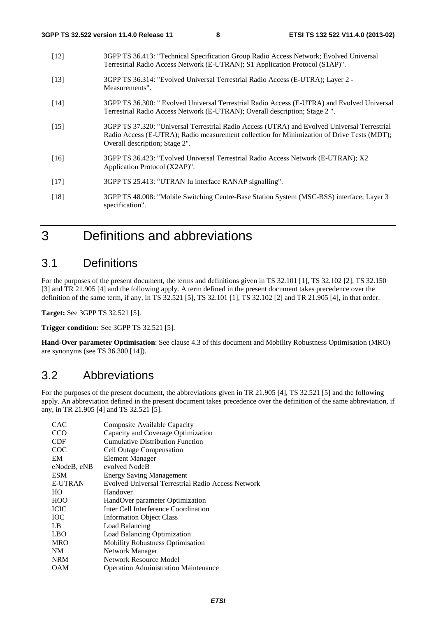- [12] 3GPP TS 36.413: "Technical Specification Group Radio Access Network; Evolved Universal Terrestrial Radio Access Network (E-UTRAN); S1 Application Protocol (S1AP)".
- [13] 3GPP TS 36.314: "Evolved Universal Terrestrial Radio Access (E-UTRA); Layer 2 Measurements".
- [14] 3GPP TS 36.300: " Evolved Universal Terrestrial Radio Access (E-UTRA) and Evolved Universal Terrestrial Radio Access Network (E-UTRAN); Overall description; Stage 2 ".
- [15] 3GPP TS 37.320: "Universal Terrestrial Radio Access (UTRA) and Evolved Universal Terrestrial Radio Access (E-UTRA); Radio measurement collection for Minimization of Drive Tests (MDT); Overall description; Stage 2".
- [16] 3GPP TS 36.423: "Evolved Universal Terrestrial Radio Access Network (E-UTRAN); X2 Application Protocol (X2AP)".
- [17] 3GPP TS 25.413: "UTRAN Iu interface RANAP signalling".
- [18] 3GPP TS 48.008: "Mobile Switching Centre-Base Station System (MSC-BSS) interface; Layer 3 specification".

# 3 Definitions and abbreviations

### 3.1 Definitions

For the purposes of the present document, the terms and definitions given in TS 32.101 [1], TS 32.102 [2], TS 32.150 [3] and TR 21.905 [4] and the following apply. A term defined in the present document takes precedence over the definition of the same term, if any, in TS 32.521 [5], TS 32.101 [1], TS 32.102 [2] and TR 21.905 [4], in that order.

**Target:** See 3GPP TS 32.521 [5].

**Trigger condition:** See 3GPP TS 32.521 [5].

**Hand-Over parameter Optimisation**: See clause 4.3 of this document and Mobility Robustness Optimisation (MRO) are synonyms (see TS 36.300 [14]).

### 3.2 Abbreviations

For the purposes of the present document, the abbreviations given in TR 21.905 [4], TS 32.521 [5] and the following apply. An abbreviation defined in the present document takes precedence over the definition of the same abbreviation, if any, in TR 21.905 [4] and TS 32.521 [5].

| Composite Available Capacity                       |
|----------------------------------------------------|
| Capacity and Coverage Optimization                 |
| <b>Cumulative Distribution Function</b>            |
| <b>Cell Outage Compensation</b>                    |
| <b>Element Manager</b>                             |
| evolved NodeB                                      |
| <b>Energy Saving Management</b>                    |
| Evolved Universal Terrestrial Radio Access Network |
| Handover                                           |
| HandOver parameter Optimization                    |
| Inter Cell Interference Coordination               |
| <b>Information Object Class</b>                    |
| Load Balancing                                     |
| Load Balancing Optimization                        |
| <b>Mobility Robustness Optimisation</b>            |
| Network Manager                                    |
| Network Resource Model                             |
| <b>Operation Administration Maintenance</b>        |
|                                                    |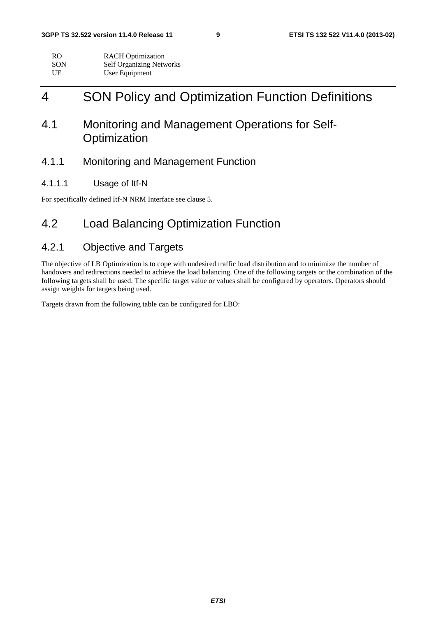| RO.        | <b>RACH</b> Optimization        |
|------------|---------------------------------|
| <b>SON</b> | <b>Self Organizing Networks</b> |
| UE         | User Equipment                  |

# 4 SON Policy and Optimization Function Definitions

### 4.1 Monitoring and Management Operations for Self-**Optimization**

### 4.1.1 Monitoring and Management Function

#### 4.1.1.1 Usage of Itf-N

For specifically defined Itf-N NRM Interface see clause 5.

### 4.2 Load Balancing Optimization Function

### 4.2.1 Objective and Targets

The objective of LB Optimization is to cope with undesired traffic load distribution and to minimize the number of handovers and redirections needed to achieve the load balancing. One of the following targets or the combination of the following targets shall be used. The specific target value or values shall be configured by operators. Operators should assign weights for targets being used.

Targets drawn from the following table can be configured for LBO: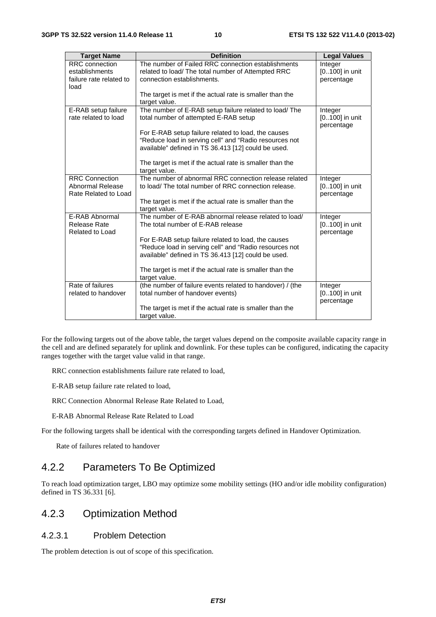| <b>Target Name</b>                                                         | <b>Definition</b>                                                                                                                                                    | <b>Legal Values</b>                       |
|----------------------------------------------------------------------------|----------------------------------------------------------------------------------------------------------------------------------------------------------------------|-------------------------------------------|
| <b>RRC</b> connection<br>establishments<br>failure rate related to<br>load | The number of Failed RRC connection establishments<br>related to load/ The total number of Attempted RRC<br>connection establishments.                               | Integer<br>[0100] in unit<br>percentage   |
|                                                                            | The target is met if the actual rate is smaller than the<br>target value.                                                                                            |                                           |
| E-RAB setup failure<br>rate related to load                                | The number of E-RAB setup failure related to load/ The<br>total number of attempted E-RAB setup                                                                      | Integer<br>[0100] in unit<br>percentage   |
|                                                                            | For E-RAB setup failure related to load, the causes<br>"Reduce load in serving cell" and "Radio resources not<br>available" defined in TS 36.413 [12] could be used. |                                           |
|                                                                            | The target is met if the actual rate is smaller than the<br>target value.                                                                                            |                                           |
| <b>RRC Connection</b><br>Abnormal Release<br>Rate Related to Load          | The number of abnormal RRC connection release related<br>to load/ The total number of RRC connection release.                                                        | Integer<br>[0100] in unit<br>percentage   |
|                                                                            | The target is met if the actual rate is smaller than the<br>target value.                                                                                            |                                           |
| E-RAB Abnormal<br>Release Rate<br><b>Related to Load</b>                   | The number of E-RAB abnormal release related to load/<br>The total number of E-RAB release                                                                           | Integer<br>[0100] in unit<br>percentage   |
|                                                                            | For E-RAB setup failure related to load, the causes<br>"Reduce load in serving cell" and "Radio resources not<br>available" defined in TS 36.413 [12] could be used. |                                           |
|                                                                            | The target is met if the actual rate is smaller than the<br>target value.                                                                                            |                                           |
| Rate of failures<br>related to handover                                    | (the number of failure events related to handover) / (the<br>total number of handover events)                                                                        | Integer<br>$[0100]$ in unit<br>percentage |
|                                                                            | The target is met if the actual rate is smaller than the<br>target value.                                                                                            |                                           |

For the following targets out of the above table, the target values depend on the composite available capacity range in the cell and are defined separately for uplink and downlink. For these tuples can be configured, indicating the capacity ranges together with the target value valid in that range.

RRC connection establishments failure rate related to load,

E-RAB setup failure rate related to load,

RRC Connection Abnormal Release Rate Related to Load,

E-RAB Abnormal Release Rate Related to Load

For the following targets shall be identical with the corresponding targets defined in Handover Optimization.

Rate of failures related to handover

### 4.2.2 Parameters To Be Optimized

To reach load optimization target, LBO may optimize some mobility settings (HO and/or idle mobility configuration) defined in TS 36.331 [6].

### 4.2.3 Optimization Method

#### 4.2.3.1 Problem Detection

The problem detection is out of scope of this specification.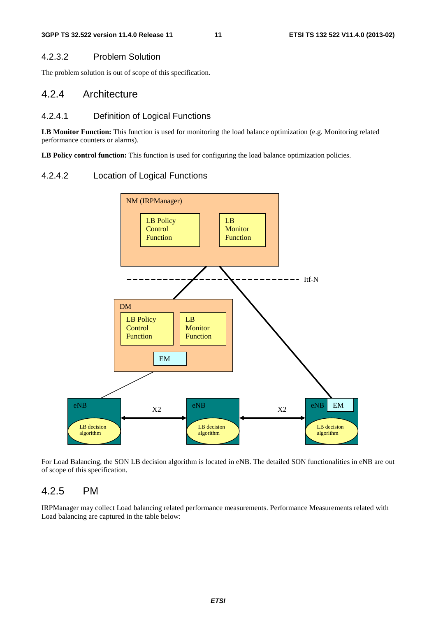#### 4.2.3.2 Problem Solution

The problem solution is out of scope of this specification.

### 4.2.4 Architecture

#### 4.2.4.1 Definition of Logical Functions

**LB Monitor Function:** This function is used for monitoring the load balance optimization (e.g. Monitoring related performance counters or alarms).

LB Policy control function: This function is used for configuring the load balance optimization policies.

#### 4.2.4.2 Location of Logical Functions



For Load Balancing, the SON LB decision algorithm is located in eNB. The detailed SON functionalities in eNB are out of scope of this specification.

#### 4.2.5 PM

IRPManager may collect Load balancing related performance measurements. Performance Measurements related with Load balancing are captured in the table below: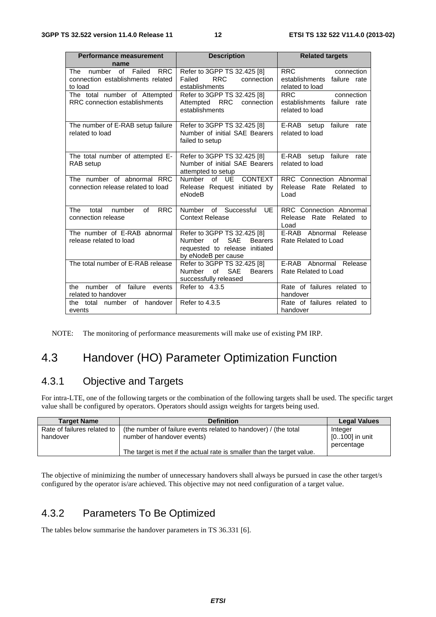| <b>Performance measurement</b>             | <b>Description</b>                           | <b>Related targets</b>                |  |
|--------------------------------------------|----------------------------------------------|---------------------------------------|--|
| name                                       |                                              |                                       |  |
| The number of Failed RRC                   | Refer to 3GPP TS 32.425 [8]                  | <b>RRC</b><br>connection              |  |
| connection establishments related          | <b>RRC</b><br>connection<br>Failed           | establishments failure rate           |  |
| to load                                    | establishments                               | related to load                       |  |
| The total number of Attempted              | Refer to 3GPP TS 32.425 [8]                  | <b>RRC</b><br>connection              |  |
| RRC connection establishments              | <b>RRC</b><br>Attempted<br>connection        | establishments<br>failure rate        |  |
|                                            | establishments                               | related to load                       |  |
| The number of E-RAB setup failure          | Refer to 3GPP TS 32.425 [8]                  | failure rate<br>E-RAB setup           |  |
| related to load                            | Number of initial SAE Bearers                | related to load                       |  |
|                                            | failed to setup                              |                                       |  |
|                                            |                                              |                                       |  |
| The total number of attempted E-           | Refer to 3GPP TS 32.425 [8]                  | E-RAB setup<br>failure<br>rate        |  |
| RAB setup                                  | Number of initial SAE Bearers                | related to load                       |  |
|                                            | attempted to setup                           |                                       |  |
| The number of abnormal RRC                 | <b>CONTEXT</b><br><b>Number</b><br>of UE     | RRC Connection Abnormal               |  |
| connection release related to load         | Release Request initiated by                 | Rate Related<br>Release<br>to.        |  |
|                                            | eNodeB                                       | Load                                  |  |
|                                            |                                              |                                       |  |
| <b>RRC</b><br>of<br>total<br>number<br>The | Number of Successful<br><b>UE</b>            | RRC Connection Abnormal               |  |
| connection release                         | <b>Context Release</b>                       | Rate Related<br>Release<br>to<br>Load |  |
| The number of E-RAB abnormal               | Refer to 3GPP TS 32.425 [8]                  | E-RAB Abnormal Release                |  |
| release related to load                    | <b>SAE</b><br>Number<br>of<br><b>Bearers</b> | Rate Related to Load                  |  |
|                                            | requested to release initiated               |                                       |  |
|                                            | by eNodeB per cause                          |                                       |  |
| The total number of E-RAB release          | Refer to 3GPP TS 32.425 [8]                  | E-RAB Abnormal Release                |  |
|                                            | Number of<br><b>SAE</b><br><b>Bearers</b>    | Rate Related to Load                  |  |
|                                            | successfully released                        |                                       |  |
| number of failure<br>the<br>events         | Refer to 4.3.5                               | Rate of failures related to           |  |
| related to handover                        |                                              | handover                              |  |
| of handover<br>the total<br>number         | Refer to 4.3.5                               | Rate of failures related to           |  |
| events                                     |                                              | handover                              |  |

NOTE: The monitoring of performance measurements will make use of existing PM IRP.

### 4.3 Handover (HO) Parameter Optimization Function

### 4.3.1 Objective and Targets

For intra-LTE, one of the following targets or the combination of the following targets shall be used. The specific target value shall be configured by operators. Operators should assign weights for targets being used.

| <b>Target Name</b>                      | <b>Definition</b>                                                                             | <b>Legal Values</b>                     |
|-----------------------------------------|-----------------------------------------------------------------------------------------------|-----------------------------------------|
| Rate of failures related to<br>handover | (the number of failure events related to handover) / (the total<br>number of handover events) | Integer<br>[0100] in unit<br>percentage |
|                                         | The target is met if the actual rate is smaller than the target value.                        |                                         |

The objective of minimizing the number of unnecessary handovers shall always be pursued in case the other target/s configured by the operator is/are achieved. This objective may not need configuration of a target value.

### 4.3.2 Parameters To Be Optimized

The tables below summarise the handover parameters in TS 36.331 [6].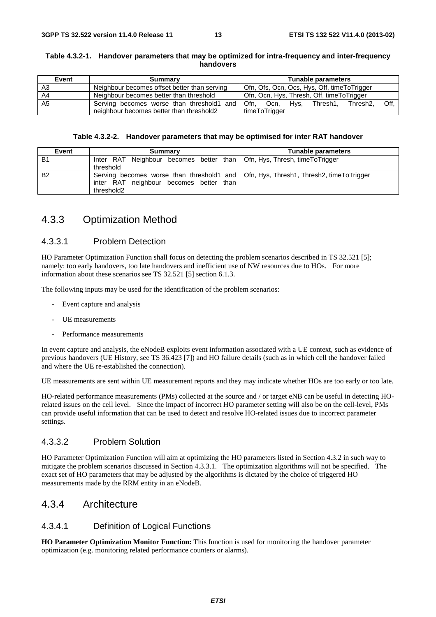#### **Table 4.3.2-1. Handover parameters that may be optimized for intra-frequency and inter-frequency handovers**

| Event | <b>Summary</b>                               | Tunable parameters                                             |
|-------|----------------------------------------------|----------------------------------------------------------------|
| A3    | Neighbour becomes offset better than serving | Ofn, Ofs, Ocn, Ocs, Hys, Off, timeToTrigger                    |
| A4    | Neighbour becomes better than threshold      | Ofn, Ocn, Hys, Thresh, Off, time To Trigger                    |
| A5    | Serving becomes worse than threshold1 and    | Hys, Thresh1,<br>Off.<br>Ofn.<br>Thresh <sub>2</sub> .<br>Ocn. |
|       | neighbour becomes better than threshold2     | timeToTrigger                                                  |

#### **Table 4.3.2-2. Handover parameters that may be optimised for inter RAT handover**

| Event     | Summary                                                                                                                                        | Tunable parameters |
|-----------|------------------------------------------------------------------------------------------------------------------------------------------------|--------------------|
| <b>B1</b> | Inter RAT Neighbour becomes better than   Ofn, Hys, Thresh, timeToTrigger<br>threshold                                                         |                    |
| <b>B2</b> | Serving becomes worse than threshold1 and   Ofn, Hys, Thresh1, Thresh2, timeToTrigger<br>inter RAT neighbour becomes better than<br>threshold2 |                    |

### 4.3.3 Optimization Method

#### 4.3.3.1 Problem Detection

HO Parameter Optimization Function shall focus on detecting the problem scenarios described in TS 32.521 [5]; namely: too early handovers, too late handovers and inefficient use of NW resources due to HOs. For more information about these scenarios see TS 32.521 [5] section 6.1.3.

The following inputs may be used for the identification of the problem scenarios:

- Event capture and analysis
- UE measurements
- Performance measurements

In event capture and analysis, the eNodeB exploits event information associated with a UE context, such as evidence of previous handovers (UE History, see TS 36.423 [7]) and HO failure details (such as in which cell the handover failed and where the UE re-established the connection).

UE measurements are sent within UE measurement reports and they may indicate whether HOs are too early or too late.

HO-related performance measurements (PMs) collected at the source and / or target eNB can be useful in detecting HOrelated issues on the cell level. Since the impact of incorrect HO parameter setting will also be on the cell-level, PMs can provide useful information that can be used to detect and resolve HO-related issues due to incorrect parameter settings.

#### 4.3.3.2 Problem Solution

HO Parameter Optimization Function will aim at optimizing the HO parameters listed in Section 4.3.2 in such way to mitigate the problem scenarios discussed in Section 4.3.3.1. The optimization algorithms will not be specified. The exact set of HO parameters that may be adjusted by the algorithms is dictated by the choice of triggered HO measurements made by the RRM entity in an eNodeB.

#### 4.3.4 Architecture

#### 4.3.4.1 Definition of Logical Functions

**HO Parameter Optimization Monitor Function:** This function is used for monitoring the handover parameter optimization (e.g. monitoring related performance counters or alarms).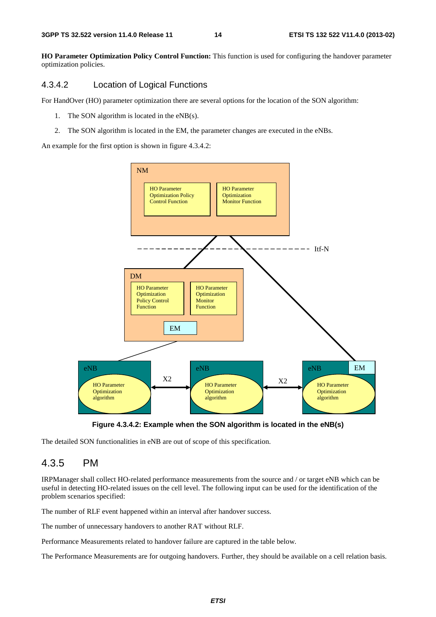**HO Parameter Optimization Policy Control Function:** This function is used for configuring the handover parameter optimization policies.

#### 4.3.4.2 Location of Logical Functions

For HandOver (HO) parameter optimization there are several options for the location of the SON algorithm:

- 1. The SON algorithm is located in the eNB(s).
- 2. The SON algorithm is located in the EM, the parameter changes are executed in the eNBs.

An example for the first option is shown in figure 4.3.4.2:





The detailed SON functionalities in eNB are out of scope of this specification.

### 4.3.5 PM

IRPManager shall collect HO-related performance measurements from the source and / or target eNB which can be useful in detecting HO-related issues on the cell level. The following input can be used for the identification of the problem scenarios specified:

The number of RLF event happened within an interval after handover success.

The number of unnecessary handovers to another RAT without RLF.

Performance Measurements related to handover failure are captured in the table below.

The Performance Measurements are for outgoing handovers. Further, they should be available on a cell relation basis.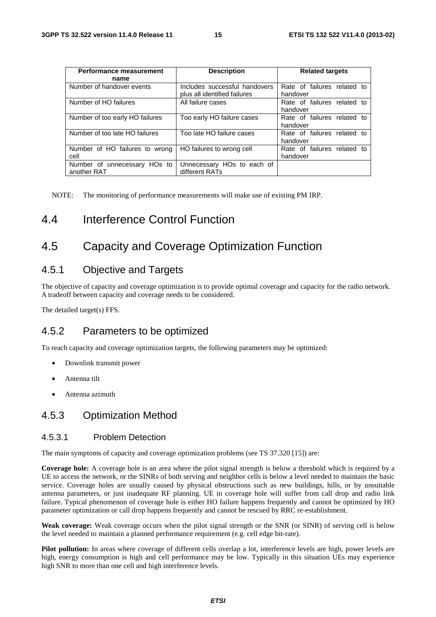| Performance measurement                     | <b>Description</b>                                            | <b>Related targets</b>                  |
|---------------------------------------------|---------------------------------------------------------------|-----------------------------------------|
| name                                        |                                                               |                                         |
| Number of handover events                   | Includes successful handovers<br>plus all identified failures | Rate of failures related to<br>handover |
| Number of HO failures                       | All failure cases                                             | Rate of failures related to<br>handover |
| Number of too early HO failures             | Too early HO failure cases                                    | Rate of failures related to<br>handover |
| Number of too late HO failures              | Too late HO failure cases                                     | Rate of failures related to<br>handover |
| Number of HO failures to wrong<br>cell      | HO failures to wrong cell                                     | Rate of failures related to<br>handover |
| Number of unnecessary HOs to<br>another RAT | Unnecessary HOs to each of<br>different RATs                  |                                         |

NOTE: The monitoring of performance measurements will make use of existing PM IRP.

### 4.4 Interference Control Function

### 4.5 Capacity and Coverage Optimization Function

### 4.5.1 Objective and Targets

The objective of capacity and coverage optimization is to provide optimal coverage and capacity for the radio network. A tradeoff between capacity and coverage needs to be considered.

The detailed target(s) FFS.

#### 4.5.2 Parameters to be optimized

To reach capacity and coverage optimization targets, the following parameters may be optimized:

- Downlink transmit power
- Antenna tilt
- Antenna azimuth

### 4.5.3 Optimization Method

#### 4.5.3.1 Problem Detection

The main symptoms of capacity and coverage optimization problems (see TS 37.320 [15]) are:

**Coverage hole:** A coverage hole is an area where the pilot signal strength is below a threshold which is required by a UE to access the network, or the SINRs of both serving and neighbor cells is below a level needed to maintain the basic service. Coverage holes are usually caused by physical obstructions such as new buildings, hills, or by unsuitable antenna parameters, or just inadequate RF planning. UE in coverage hole will suffer from call drop and radio link failure. Typical phenomenon of coverage hole is either HO failure happens frequently and cannot be optimized by HO parameter optimization or call drop happens frequently and cannot be rescued by RRC re-establishment.

**Weak coverage:** Weak coverage occurs when the pilot signal strength or the SNR (or SINR) of serving cell is below the level needed to maintain a planned performance requirement (e.g. cell edge bit-rate).

**Pilot pollution:** In areas where coverage of different cells overlap a lot, interference levels are high, power levels are high, energy consumption is high and cell performance may be low. Typically in this situation UEs may experience high SNR to more than one cell and high interference levels.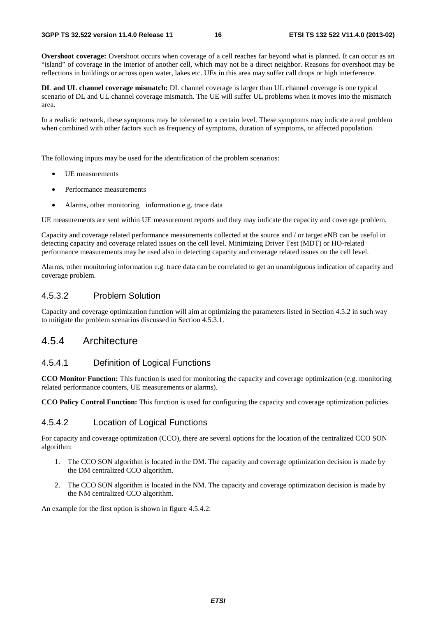**Overshoot coverage:** Overshoot occurs when coverage of a cell reaches far beyond what is planned. It can occur as an "island" of coverage in the interior of another cell, which may not be a direct neighbor. Reasons for overshoot may be reflections in buildings or across open water, lakes etc. UEs in this area may suffer call drops or high interference.

**DL and UL channel coverage mismatch:** DL channel coverage is larger than UL channel coverage is one typical scenario of DL and UL channel coverage mismatch. The UE will suffer UL problems when it moves into the mismatch area.

In a realistic network, these symptoms may be tolerated to a certain level. These symptoms may indicate a real problem when combined with other factors such as frequency of symptoms, duration of symptoms, or affected population.

The following inputs may be used for the identification of the problem scenarios:

- UE measurements
- Performance measurements
- Alarms, other monitoring information e.g. trace data

UE measurements are sent within UE measurement reports and they may indicate the capacity and coverage problem.

Capacity and coverage related performance measurements collected at the source and / or target eNB can be useful in detecting capacity and coverage related issues on the cell level. Minimizing Driver Test (MDT) or HO-related performance measurements may be used also in detecting capacity and coverage related issues on the cell level.

Alarms, other monitoring information e.g. trace data can be correlated to get an unambiguous indication of capacity and coverage problem.

#### 4.5.3.2 Problem Solution

Capacity and coverage optimization function will aim at optimizing the parameters listed in Section 4.5.2 in such way to mitigate the problem scenarios discussed in Section 4.5.3.1.

### 4.5.4 Architecture

#### 4.5.4.1 Definition of Logical Functions

**CCO Monitor Function:** This function is used for monitoring the capacity and coverage optimization (e.g. monitoring related performance counters, UE measurements or alarms).

**CCO Policy Control Function:** This function is used for configuring the capacity and coverage optimization policies.

#### 4.5.4.2 Location of Logical Functions

For capacity and coverage optimization (CCO), there are several options for the location of the centralized CCO SON algorithm:

- 1. The CCO SON algorithm is located in the DM. The capacity and coverage optimization decision is made by the DM centralized CCO algorithm.
- 2. The CCO SON algorithm is located in the NM. The capacity and coverage optimization decision is made by the NM centralized CCO algorithm.

An example for the first option is shown in figure 4.5.4.2: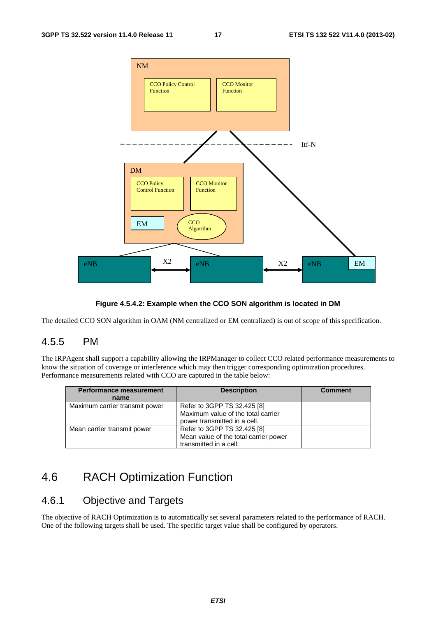

#### **Figure 4.5.4.2: Example when the CCO SON algorithm is located in DM**

The detailed CCO SON algorithm in OAM (NM centralized or EM centralized) is out of scope of this specification.

#### 4.5.5 PM

The IRPAgent shall support a capability allowing the IRPManager to collect CCO related performance measurements to know the situation of coverage or interference which may then trigger corresponding optimization procedures. Performance measurements related with CCO are captured in the table below:

| <b>Performance measurement</b> | <b>Description</b>                    | <b>Comment</b> |
|--------------------------------|---------------------------------------|----------------|
| name                           |                                       |                |
| Maximum carrier transmit power | Refer to 3GPP TS 32.425 [8]           |                |
|                                | Maximum value of the total carrier    |                |
|                                | power transmitted in a cell.          |                |
| Mean carrier transmit power    | Refer to 3GPP TS 32.425 [8]           |                |
|                                | Mean value of the total carrier power |                |
|                                | transmitted in a cell.                |                |

### 4.6 RACH Optimization Function

### 4.6.1 Objective and Targets

The objective of RACH Optimization is to automatically set several parameters related to the performance of RACH. One of the following targets shall be used. The specific target value shall be configured by operators.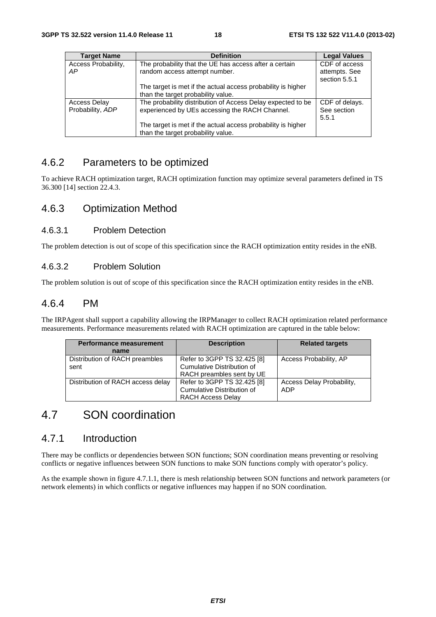| <b>Target Name</b>        | <b>Definition</b>                                                                                  | <b>Legal Values</b>                             |
|---------------------------|----------------------------------------------------------------------------------------------------|-------------------------------------------------|
| Access Probability,<br>AP | The probability that the UE has access after a certain<br>random access attempt number.            | CDF of access<br>attempts. See<br>section 5.5.1 |
|                           | The target is met if the actual access probability is higher<br>than the target probability value. |                                                 |
| <b>Access Delay</b>       | The probability distribution of Access Delay expected to be                                        | CDF of delays.                                  |
| Probability, ADP          | experienced by UEs accessing the RACH Channel.                                                     | See section<br>5.5.1                            |
|                           | The target is met if the actual access probability is higher<br>than the target probability value. |                                                 |

### 4.6.2 Parameters to be optimized

To achieve RACH optimization target, RACH optimization function may optimize several parameters defined in TS 36.300 [14] section 22.4.3.

### 4.6.3 Optimization Method

#### 4.6.3.1 Problem Detection

The problem detection is out of scope of this specification since the RACH optimization entity resides in the eNB.

#### 4.6.3.2 Problem Solution

The problem solution is out of scope of this specification since the RACH optimization entity resides in the eNB.

### 4.6.4 PM

The IRPAgent shall support a capability allowing the IRPManager to collect RACH optimization related performance measurements. Performance measurements related with RACH optimization are captured in the table below:

| <b>Performance measurement</b><br>name | <b>Description</b>                                                                     | <b>Related targets</b>           |
|----------------------------------------|----------------------------------------------------------------------------------------|----------------------------------|
| Distribution of RACH preambles<br>sent | Refer to 3GPP TS 32.425 [8]<br>Cumulative Distribution of<br>RACH preambles sent by UE | Access Probability, AP           |
| Distribution of RACH access delay      | Refer to 3GPP TS 32.425 [8]<br>Cumulative Distribution of<br><b>RACH Access Delay</b>  | Access Delay Probability,<br>ADP |

# 4.7 SON coordination

### 4.7.1 Introduction

There may be conflicts or dependencies between SON functions; SON coordination means preventing or resolving conflicts or negative influences between SON functions to make SON functions comply with operator's policy.

As the example shown in figure 4.7.1.1, there is mesh relationship between SON functions and network parameters (or network elements) in which conflicts or negative influences may happen if no SON coordination.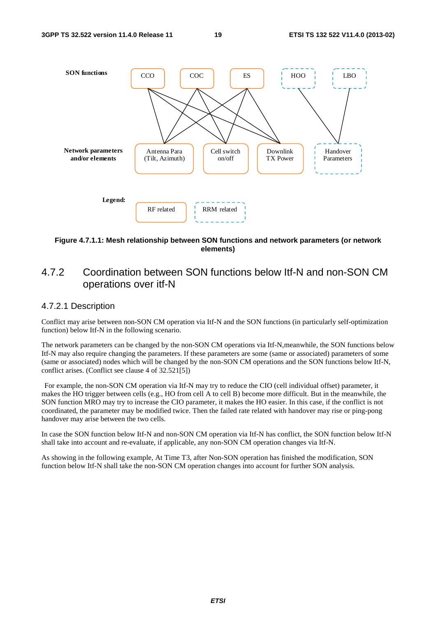

#### **Figure 4.7.1.1: Mesh relationship between SON functions and network parameters (or network elements)**

### 4.7.2 Coordination between SON functions below Itf-N and non-SON CM operations over itf-N

#### 4.7.2.1 Description

Conflict may arise between non-SON CM operation via Itf-N and the SON functions (in particularly self-optimization function) below Itf-N in the following scenario.

The network parameters can be changed by the non-SON CM operations via Itf-N,meanwhile, the SON functions below Itf-N may also require changing the parameters. If these parameters are some (same or associated) parameters of some (same or associated) nodes which will be changed by the non-SON CM operations and the SON functions below Itf-N, conflict arises. (Conflict see clause 4 of 32.521[5])

 For example, the non-SON CM operation via Itf-N may try to reduce the CIO (cell individual offset) parameter, it makes the HO trigger between cells (e.g., HO from cell A to cell B) become more difficult. But in the meanwhile, the SON function MRO may try to increase the CIO parameter, it makes the HO easier. In this case, if the conflict is not coordinated, the parameter may be modified twice. Then the failed rate related with handover may rise or ping-pong handover may arise between the two cells.

In case the SON function below Itf-N and non-SON CM operation via Itf-N has conflict, the SON function below Itf-N shall take into account and re-evaluate, if applicable, any non-SON CM operation changes via Itf-N.

As showing in the following example, At Time T3, after Non-SON operation has finished the modification, SON function below Itf-N shall take the non-SON CM operation changes into account for further SON analysis.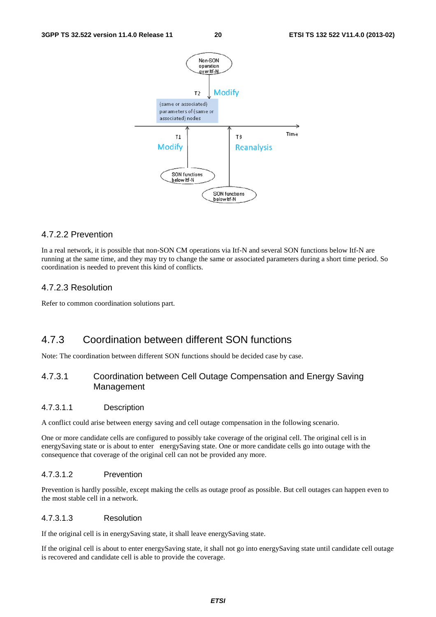

#### 4.7.2.2 Prevention

In a real network, it is possible that non-SON CM operations via Itf-N and several SON functions below Itf-N are running at the same time, and they may try to change the same or associated parameters during a short time period. So coordination is needed to prevent this kind of conflicts.

#### 4.7.2.3 Resolution

Refer to common coordination solutions part.

### 4.7.3 Coordination between different SON functions

Note: The coordination between different SON functions should be decided case by case.

#### 4.7.3.1 Coordination between Cell Outage Compensation and Energy Saving Management

#### 4.7.3.1.1 Description

A conflict could arise between energy saving and cell outage compensation in the following scenario.

One or more candidate cells are configured to possibly take coverage of the original cell. The original cell is in energySaving state or is about to enter energySaving state. One or more candidate cells go into outage with the consequence that coverage of the original cell can not be provided any more.

#### 4.7.3.1.2 Prevention

Prevention is hardly possible, except making the cells as outage proof as possible. But cell outages can happen even to the most stable cell in a network.

#### 4.7.3.1.3 Resolution

If the original cell is in energySaving state, it shall leave energySaving state.

If the original cell is about to enter energySaving state, it shall not go into energySaving state until candidate cell outage is recovered and candidate cell is able to provide the coverage.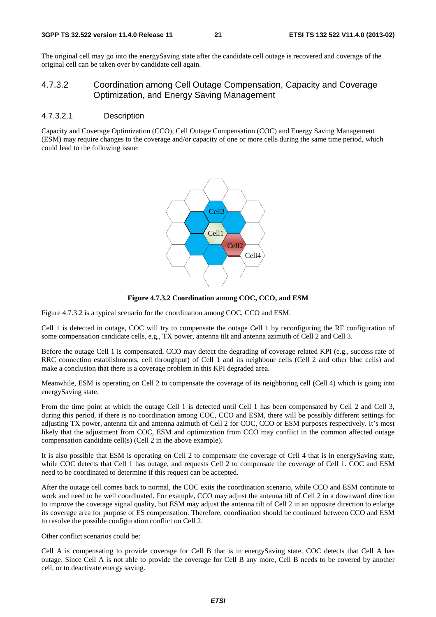The original cell may go into the energySaving state after the candidate cell outage is recovered and coverage of the original cell can be taken over by candidate cell again.

#### 4.7.3.2 Coordination among Cell Outage Compensation, Capacity and Coverage Optimization, and Energy Saving Management

#### 4.7.3.2.1 Description

Capacity and Coverage Optimization (CCO), Cell Outage Compensation (COC) and Energy Saving Management (ESM) may require changes to the coverage and/or capacity of one or more cells during the same time period, which could lead to the following issue:





Figure 4.7.3.2 is a typical scenario for the coordination among COC, CCO and ESM.

Cell 1 is detected in outage, COC will try to compensate the outage Cell 1 by reconfiguring the RF configuration of some compensation candidate cells, e.g., TX power, antenna tilt and antenna azimuth of Cell 2 and Cell 3.

Before the outage Cell 1 is compensated, CCO may detect the degrading of coverage related KPI (e.g., success rate of RRC connection establishments, cell throughput) of Cell 1 and its neighbour cells (Cell 2 and other blue cells) and make a conclusion that there is a coverage problem in this KPI degraded area.

Meanwhile, ESM is operating on Cell 2 to compensate the coverage of its neighboring cell (Cell 4) which is going into energySaving state.

From the time point at which the outage Cell 1 is detected until Cell 1 has been compensated by Cell 2 and Cell 3, during this period, if there is no coordination among COC, CCO and ESM, there will be possibly different settings for adjusting TX power, antenna tilt and antenna azimuth of Cell 2 for COC, CCO or ESM purposes respectively. It's most likely that the adjustment from COC, ESM and optimization from CCO may conflict in the common affected outage compensation candidate cell(s) (Cell 2 in the above example).

It is also possible that ESM is operating on Cell 2 to compensate the coverage of Cell 4 that is in energySaving state, while COC detects that Cell 1 has outage, and requests Cell 2 to compensate the coverage of Cell 1. COC and ESM need to be coordinated to determine if this request can be accepted.

After the outage cell comes back to normal, the COC exits the coordination scenario, while CCO and ESM continute to work and need to be well coordinated. For example, CCO may adjust the antenna tilt of Cell 2 in a downward direction to improve the coverage signal quality, but ESM may adjust the antenna tilt of Cell 2 in an opposite direction to enlarge its coverage area for purpose of ES compensation. Therefore, coordination should be continued between CCO and ESM to resolve the possible configuration conflict on Cell 2.

Other conflict scenarios could be:

Cell A is compensating to provide coverage for Cell B that is in energySaving state. COC detects that Cell A has outage. Since Cell A is not able to provide the coverage for Cell B any more, Cell B needs to be covered by another cell, or to deactivate energy saving.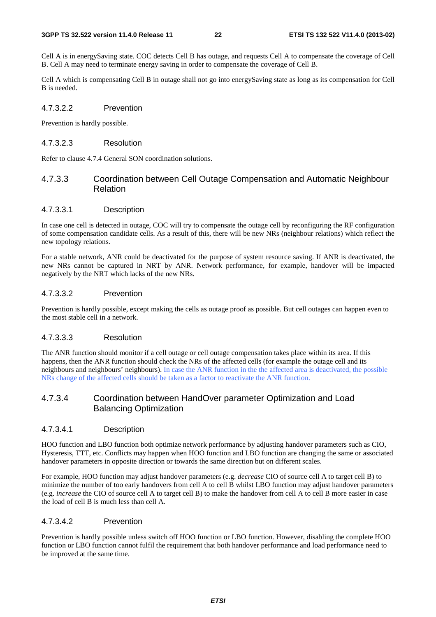Cell A is in energySaving state. COC detects Cell B has outage, and requests Cell A to compensate the coverage of Cell B. Cell A may need to terminate energy saving in order to compensate the coverage of Cell B.

Cell A which is compensating Cell B in outage shall not go into energySaving state as long as its compensation for Cell B is needed.

#### 4.7.3.2.2 Prevention

Prevention is hardly possible.

#### 4.7.3.2.3 Resolution

Refer to clause 4.7.4 General SON coordination solutions.

#### 4.7.3.3 Coordination between Cell Outage Compensation and Automatic Neighbour Relation

#### 4.7.3.3.1 Description

In case one cell is detected in outage, COC will try to compensate the outage cell by reconfiguring the RF configuration of some compensation candidate cells. As a result of this, there will be new NRs (neighbour relations) which reflect the new topology relations.

For a stable network, ANR could be deactivated for the purpose of system resource saving. If ANR is deactivated, the new NRs cannot be captured in NRT by ANR. Network performance, for example, handover will be impacted negatively by the NRT which lacks of the new NRs.

#### 4.7.3.3.2 Prevention

Prevention is hardly possible, except making the cells as outage proof as possible. But cell outages can happen even to the most stable cell in a network.

#### 4.7.3.3.3 Resolution

The ANR function should monitor if a cell outage or cell outage compensation takes place within its area. If this happens, then the ANR function should check the NRs of the affected cells (for example the outage cell and its neighbours and neighbours' neighbours). In case the ANR function in the the affected area is deactivated, the possible NRs change of the affected cells should be taken as a factor to reactivate the ANR function.

#### 4.7.3.4 Coordination between HandOver parameter Optimization and Load Balancing Optimization

#### 4.7.3.4.1 Description

HOO function and LBO function both optimize network performance by adjusting handover parameters such as CIO, Hysteresis, TTT, etc. Conflicts may happen when HOO function and LBO function are changing the same or associated handover parameters in opposite direction or towards the same direction but on different scales.

For example, HOO function may adjust handover parameters (e.g. *decrease* CIO of source cell A to target cell B) to minimize the number of too early handovers from cell A to cell B whilst LBO function may adjust handover parameters (e.g. *increase* the CIO of source cell A to target cell B) to make the handover from cell A to cell B more easier in case the load of cell B is much less than cell A.

#### 4.7.3.4.2 Prevention

Prevention is hardly possible unless switch off HOO function or LBO function. However, disabling the complete HOO function or LBO function cannot fulfil the requirement that both handover performance and load performance need to be improved at the same time.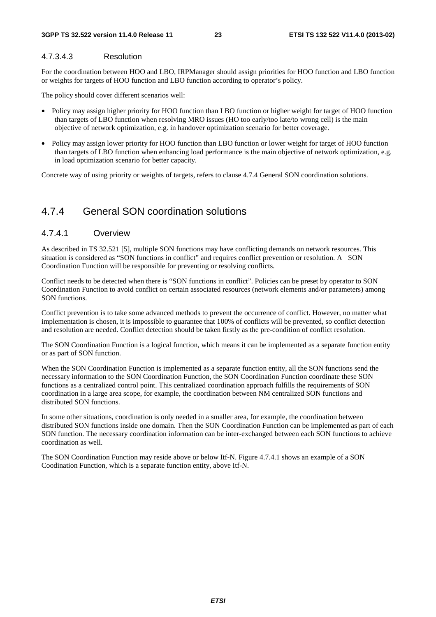#### 4.7.3.4.3 Resolution

For the coordination between HOO and LBO, IRPManager should assign priorities for HOO function and LBO function or weights for targets of HOO function and LBO function according to operator's policy.

The policy should cover different scenarios well:

- Policy may assign higher priority for HOO function than LBO function or higher weight for target of HOO function than targets of LBO function when resolving MRO issues (HO too early/too late/to wrong cell) is the main objective of network optimization, e.g. in handover optimization scenario for better coverage.
- Policy may assign lower priority for HOO function than LBO function or lower weight for target of HOO function than targets of LBO function when enhancing load performance is the main objective of network optimization, e.g. in load optimization scenario for better capacity.

Concrete way of using priority or weights of targets, refers to clause 4.7.4 General SON coordination solutions.

### 4.7.4 General SON coordination solutions

#### 4.7.4.1 Overview

As described in TS 32.521 [5], multiple SON functions may have conflicting demands on network resources. This situation is considered as "SON functions in conflict" and requires conflict prevention or resolution. A SON Coordination Function will be responsible for preventing or resolving conflicts.

Conflict needs to be detected when there is "SON functions in conflict". Policies can be preset by operator to SON Coordination Function to avoid conflict on certain associated resources (network elements and/or parameters) among SON functions.

Conflict prevention is to take some advanced methods to prevent the occurrence of conflict. However, no matter what implementation is chosen, it is impossible to guarantee that 100% of conflicts will be prevented, so conflict detection and resolution are needed. Conflict detection should be taken firstly as the pre-condition of conflict resolution.

The SON Coordination Function is a logical function, which means it can be implemented as a separate function entity or as part of SON function.

When the SON Coordination Function is implemented as a separate function entity, all the SON functions send the necessary information to the SON Coordination Function, the SON Coordination Function coordinate these SON functions as a centralized control point. This centralized coordination approach fulfills the requirements of SON coordination in a large area scope, for example, the coordination between NM centralized SON functions and distributed SON functions.

In some other situations, coordination is only needed in a smaller area, for example, the coordination between distributed SON functions inside one domain. Then the SON Coordination Function can be implemented as part of each SON function. The necessary coordination information can be inter-exchanged between each SON functions to achieve coordination as well.

The SON Coordination Function may reside above or below Itf-N. Figure 4.7.4.1 shows an example of a SON Coodination Function, which is a separate function entity, above Itf-N.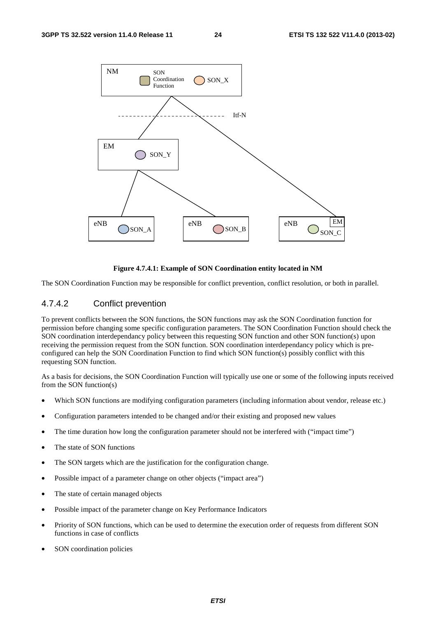

#### **Figure 4.7.4.1: Example of SON Coordination entity located in NM**

The SON Coordination Function may be responsible for conflict prevention, conflict resolution, or both in parallel.

#### 4.7.4.2 Conflict prevention

To prevent conflicts between the SON functions, the SON functions may ask the SON Coordination function for permission before changing some specific configuration parameters. The SON Coordination Function should check the SON coordination interdependancy policy between this requesting SON function and other SON function(s) upon receiving the permission request from the SON function. SON coordination interdependancy policy which is preconfigured can help the SON Coordination Function to find which SON function(s) possibly conflict with this requesting SON function.

As a basis for decisions, the SON Coordination Function will typically use one or some of the following inputs received from the SON function(s)

- Which SON functions are modifying configuration parameters (including information about vendor, release etc.)
- Configuration parameters intended to be changed and/or their existing and proposed new values
- The time duration how long the configuration parameter should not be interfered with ("impact time")
- The state of SON functions
- The SON targets which are the justification for the configuration change.
- Possible impact of a parameter change on other objects ("impact area")
- The state of certain managed objects
- Possible impact of the parameter change on Key Performance Indicators
- Priority of SON functions, which can be used to determine the execution order of requests from different SON functions in case of conflicts
- SON coordination policies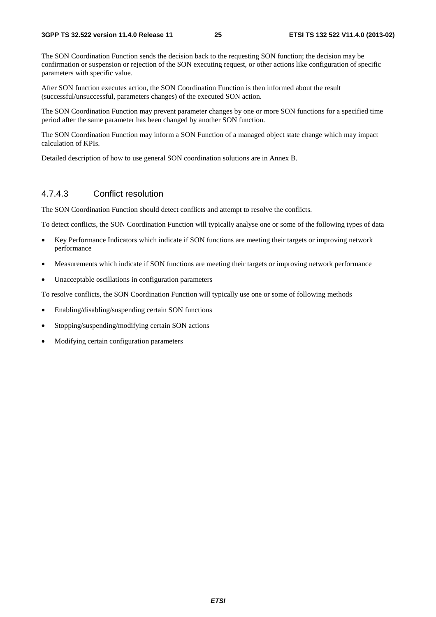The SON Coordination Function sends the decision back to the requesting SON function; the decision may be confirmation or suspension or rejection of the SON executing request, or other actions like configuration of specific parameters with specific value.

After SON function executes action, the SON Coordination Function is then informed about the result (successful/unsuccessful, parameters changes) of the executed SON action.

The SON Coordination Function may prevent parameter changes by one or more SON functions for a specified time period after the same parameter has been changed by another SON function.

The SON Coordination Function may inform a SON Function of a managed object state change which may impact calculation of KPIs.

Detailed description of how to use general SON coordination solutions are in Annex B.

#### 4.7.4.3 Conflict resolution

The SON Coordination Function should detect conflicts and attempt to resolve the conflicts.

To detect conflicts, the SON Coordination Function will typically analyse one or some of the following types of data

- Key Performance Indicators which indicate if SON functions are meeting their targets or improving network performance
- Measurements which indicate if SON functions are meeting their targets or improving network performance
- Unacceptable oscillations in configuration parameters

To resolve conflicts, the SON Coordination Function will typically use one or some of following methods

- Enabling/disabling/suspending certain SON functions
- Stopping/suspending/modifying certain SON actions
- Modifying certain configuration parameters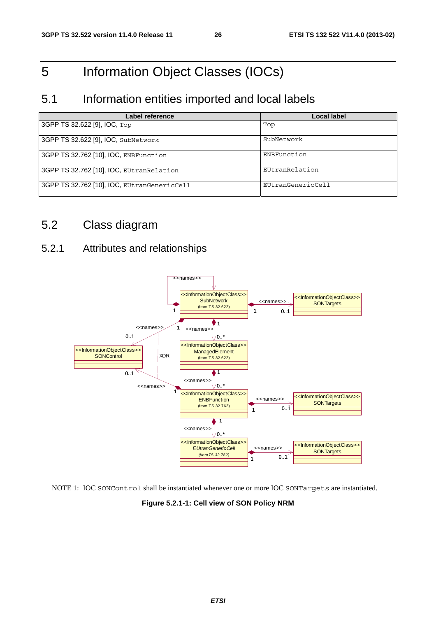# 5 Information Object Classes (IOCs)

### 5.1 Information entities imported and local labels

| Label reference                             | <b>Local label</b> |
|---------------------------------------------|--------------------|
| 3GPP TS 32.622 [9], IOC, Top                | Top                |
| 3GPP TS 32.622 [9], IOC, SubNetwork         | SubNetwork         |
| 3GPP TS 32.762 [10], IOC, ENBFunction       | ENBFunction        |
| 3GPP TS 32.762 [10], IOC, EUtranRelation    | EUtranRelation     |
| 3GPP TS 32.762 [10], IOC, EUtranGenericCell | EUtranGenericCell  |

# 5.2 Class diagram

### 5.2.1 Attributes and relationships



NOTE 1: IOC SONControl shall be instantiated whenever one or more IOC SONTargets are instantiated.

**Figure 5.2.1-1: Cell view of SON Policy NRM**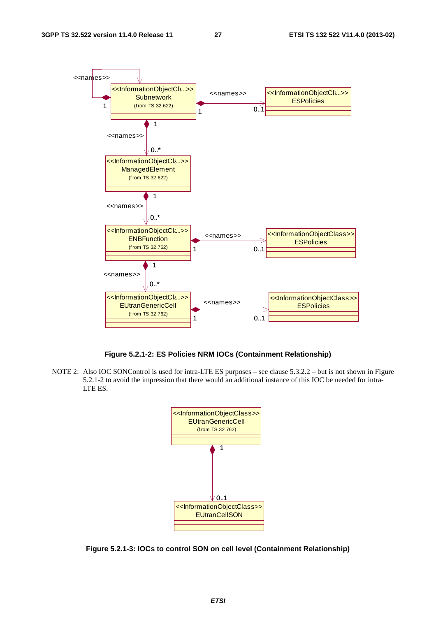

**Figure 5.2.1-2: ES Policies NRM IOCs (Containment Relationship)** 

NOTE 2: Also IOC SONControl is used for intra-LTE ES purposes – see clause 5.3.2.2 – but is not shown in Figure 5.2.1-2 to avoid the impression that there would an additional instance of this IOC be needed for intra-LTE ES.



**Figure 5.2.1-3: IOCs to control SON on cell level (Containment Relationship)**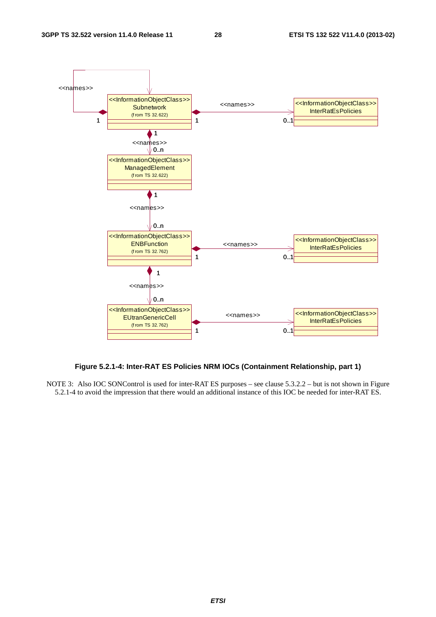

#### **Figure 5.2.1-4: Inter-RAT ES Policies NRM IOCs (Containment Relationship, part 1)**

NOTE 3: Also IOC SONControl is used for inter-RAT ES purposes – see clause 5.3.2.2 – but is not shown in Figure 5.2.1-4 to avoid the impression that there would an additional instance of this IOC be needed for inter-RAT ES.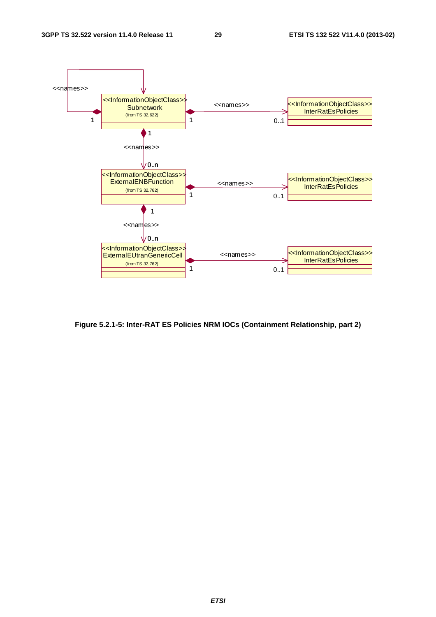

**Figure 5.2.1-5: Inter-RAT ES Policies NRM IOCs (Containment Relationship, part 2)**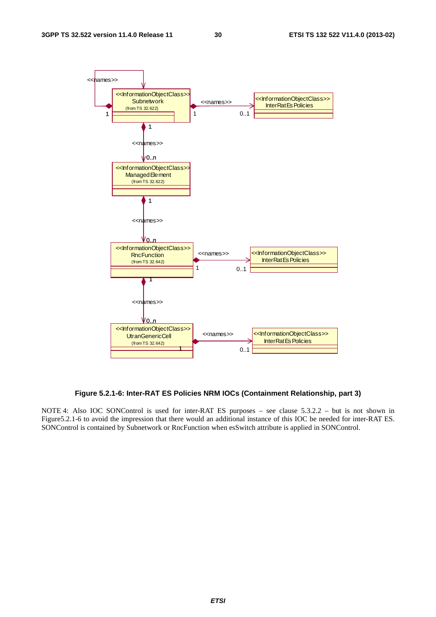

**Figure 5.2.1-6: Inter-RAT ES Policies NRM IOCs (Containment Relationship, part 3)** 

NOTE 4: Also IOC SONControl is used for inter-RAT ES purposes – see clause 5.3.2.2 – but is not shown in Figure5.2.1-6 to avoid the impression that there would an additional instance of this IOC be needed for inter-RAT ES. SONControl is contained by Subnetwork or RncFunction when esSwitch attribute is applied in SONControl.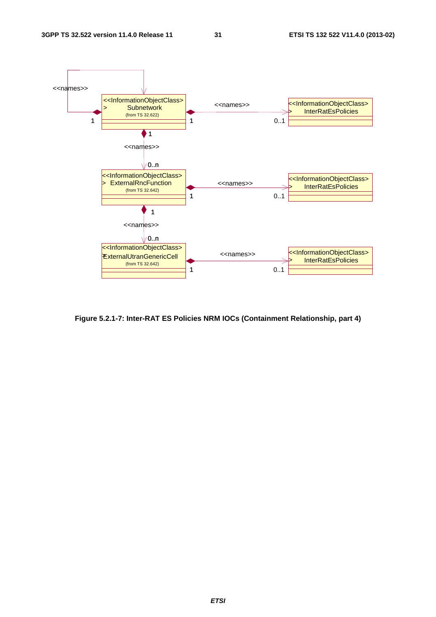

**Figure 5.2.1-7: Inter-RAT ES Policies NRM IOCs (Containment Relationship, part 4)**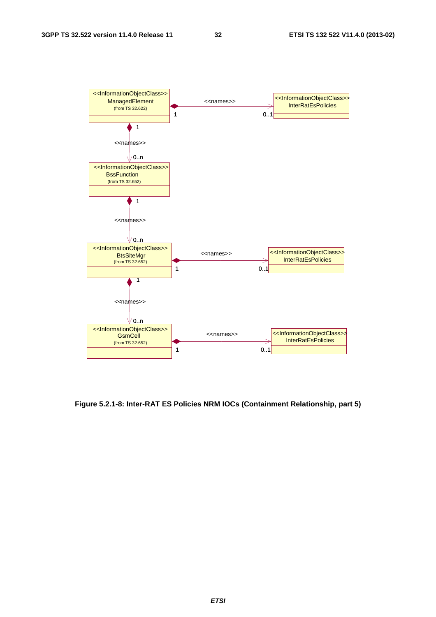

**Figure 5.2.1-8: Inter-RAT ES Policies NRM IOCs (Containment Relationship, part 5)**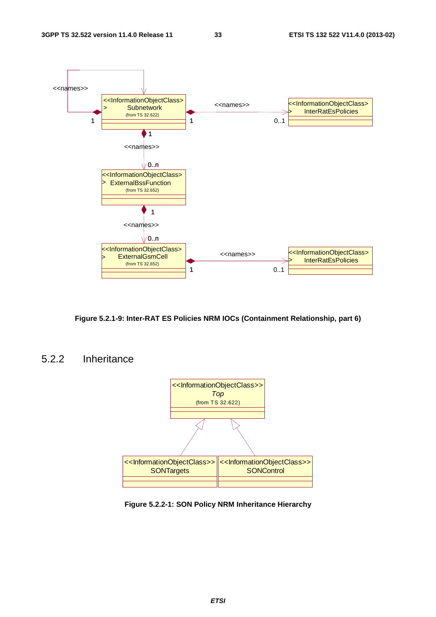

**Figure 5.2.1-9: Inter-RAT ES Policies NRM IOCs (Containment Relationship, part 6)** 

### 5.2.2 Inheritance



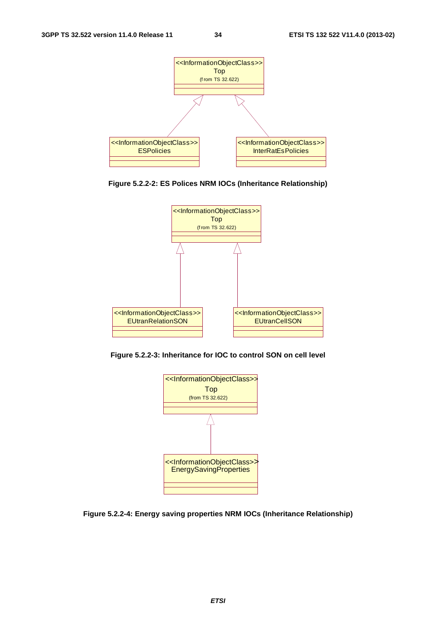

**Figure 5.2.2-2: ES Polices NRM IOCs (Inheritance Relationship)** 



**Figure 5.2.2-3: Inheritance for IOC to control SON on cell level** 



**Figure 5.2.2-4: Energy saving properties NRM IOCs (Inheritance Relationship)**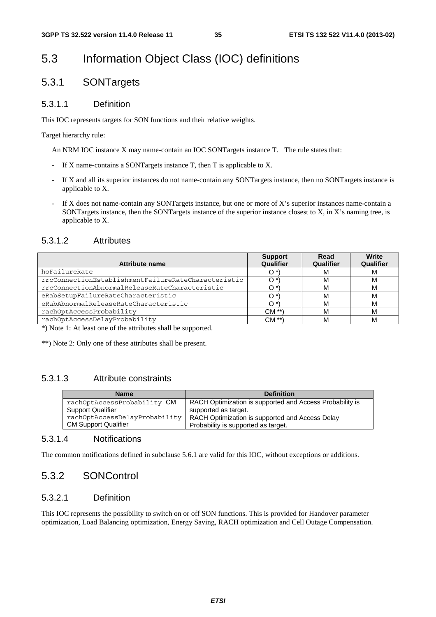# 5.3 Information Object Class (IOC) definitions

### 5.3.1 SONTargets

### 5.3.1.1 Definition

This IOC represents targets for SON functions and their relative weights.

Target hierarchy rule:

An NRM IOC instance X may name-contain an IOC SONTargets instance T. The rule states that:

- If X name-contains a SONTargets instance  $T$ , then  $T$  is applicable to X.
- If X and all its superior instances do not name-contain any SONTargets instance, then no SONTargets instance is applicable to X.
- If X does not name-contain any SONTargets instance, but one or more of X's superior instances name-contain a SONTargets instance, then the SONTargets instance of the superior instance closest to X, in X's naming tree, is applicable to X.

### 5.3.1.2 Attributes

| <b>Attribute name</b>                               | <b>Support</b><br>Qualifier | Read<br>Qualifier | Write<br>Qualifier |
|-----------------------------------------------------|-----------------------------|-------------------|--------------------|
| hoFailureRate                                       | O.                          | M                 | M                  |
| rrcConnectionEstablishmentFailureRateCharacteristic |                             | м                 | M                  |
| rrcConnectionAbnormalReleaseRateCharacteristic      | ∩ *                         | м                 | м                  |
| eRabSetupFailureRateCharacteristic                  | ∩ *                         | м                 | м                  |
| eRabAbnormalReleaseRateCharacteristic               | n*                          | м                 | м                  |
| rachOptAccessProbability                            | $CM**$                      | м                 | м                  |
| rachOptAccessDelayProbability                       | $CM**$                      | м                 | м                  |

\*) Note 1: At least one of the attributes shall be supported.

\*\*) Note 2: Only one of these attributes shall be present.

### 5.3.1.3 Attribute constraints

| <b>Name</b>                   | <b>Definition</b>                                        |
|-------------------------------|----------------------------------------------------------|
| rachOptAccessProbability CM   | RACH Optimization is supported and Access Probability is |
| <b>Support Qualifier</b>      | supported as target.                                     |
| rachOptAccessDelayProbability | RACH Optimization is supported and Access Delay          |
| <b>CM Support Qualifier</b>   | Probability is supported as target.                      |

#### 5.3.1.4 Notifications

The common notifications defined in subclause 5.6.1 are valid for this IOC, without exceptions or additions.

### 5.3.2 SONControl

### 5.3.2.1 Definition

This IOC represents the possibility to switch on or off SON functions. This is provided for Handover parameter optimization, Load Balancing optimization, Energy Saving, RACH optimization and Cell Outage Compensation.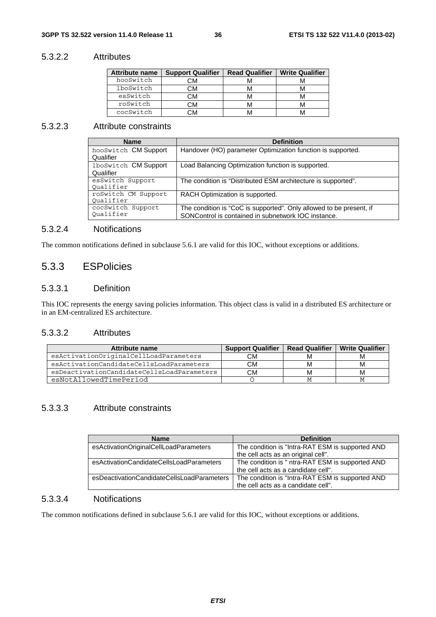#### 5.3.2.2 Attributes

| <b>Attribute name</b> | <b>Support Qualifier</b> | <b>Read Qualifier</b> | <b>Write Qualifier</b> |
|-----------------------|--------------------------|-----------------------|------------------------|
| hooSwitch             | СM                       |                       |                        |
| lboSwitch             | СM                       |                       |                        |
| esSwitch              | CМ                       |                       |                        |
| roSwitch              | СM                       |                       |                        |
| cocSwitch             |                          |                       |                        |

#### 5.3.2.3 Attribute constraints

| <b>Name</b>                       | <b>Definition</b>                                                                                                          |
|-----------------------------------|----------------------------------------------------------------------------------------------------------------------------|
| hooSwitch CM Support<br>Qualifier | Handover (HO) parameter Optimization function is supported.                                                                |
| 1boSwitch CM Support<br>Qualifier | Load Balancing Optimization function is supported.                                                                         |
| esSwitch Support<br>Oualifier     | The condition is "Distributed ESM architecture is supported".                                                              |
| roSwitch CM Support<br>Oualifier  | RACH Optimization is supported.                                                                                            |
| cocSwitch Support<br>Oualifier    | The condition is "CoC is supported". Only allowed to be present, if<br>SONControl is contained in subnetwork IOC instance. |

#### 5.3.2.4 Notifications

The common notifications defined in subclause 5.6.1 are valid for this IOC, without exceptions or additions.

### 5.3.3 ESPolicies

#### 5.3.3.1 Definition

This IOC represents the energy saving policies information. This object class is valid in a distributed ES architecture or in an EM-centralized ES architecture.

#### 5.3.3.2 Attributes

| Attribute name                             | <b>Support Qualifier</b> | <b>Read Qualifier</b> | <b>Write Qualifier</b> |
|--------------------------------------------|--------------------------|-----------------------|------------------------|
| esActivationOriginalCellLoadParameters     | CM.                      | м                     |                        |
| esActivationCandidateCellsLoadParameters   | CМ                       | м                     | M                      |
| esDeactivationCandidateCellsLoadParameters | СМ                       | М                     | M                      |
| esNotAllowedTimePeriod                     |                          |                       |                        |

#### 5.3.3.3 Attribute constraints

| <b>Name</b>                                | <b>Definition</b>                                |
|--------------------------------------------|--------------------------------------------------|
| esActivationOriginalCellLoadParameters     | The condition is "Intra-RAT ESM is supported AND |
|                                            | the cell acts as an original cell".              |
| esActivationCandidateCellsLoadParameters   | The condition is " ntra-RAT ESM is supported AND |
|                                            | the cell acts as a candidate cell".              |
| esDeactivationCandidateCellsLoadParameters | The condition is "Intra-RAT ESM is supported AND |
|                                            | the cell acts as a candidate cell".              |

#### 5.3.3.4 Notifications

The common notifications defined in subclause 5.6.1 are valid for this IOC, without exceptions or additions.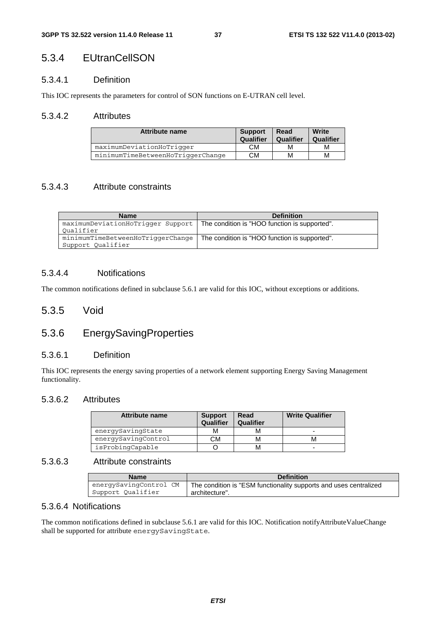### 5.3.4 EUtranCellSON

#### 5.3.4.1 Definition

This IOC represents the parameters for control of SON functions on E-UTRAN cell level.

#### 5.3.4.2 Attributes

| Attribute name                    | <b>Support</b><br>Qualifier | <b>Read</b><br>Qualifier | Write<br>Qualifier |
|-----------------------------------|-----------------------------|--------------------------|--------------------|
| maximumDeviationHoTrigger         | СM                          | M                        | М                  |
| minimumTimeBetweenHoTriggerChange | CМ                          | M                        | м                  |

#### 5.3.4.3 Attribute constraints

| <b>Name</b>                                            | <b>Definition</b>                                                                 |  |
|--------------------------------------------------------|-----------------------------------------------------------------------------------|--|
| Oualifier                                              | maximumDeviationHoTrigger Support   The condition is "HOO function is supported". |  |
| minimumTimeBetweenHoTriggerChange<br>Support Qualifier | The condition is "HOO function is supported".                                     |  |

#### 5.3.4.4 Notifications

The common notifications defined in subclause 5.6.1 are valid for this IOC, without exceptions or additions.

#### 5.3.5 Void

### 5.3.6 EnergySavingProperties

#### 5.3.6.1 Definition

This IOC represents the energy saving properties of a network element supporting Energy Saving Management functionality.

#### 5.3.6.2 Attributes

| Attribute name      | <b>Support</b><br>Qualifier | Read<br>Qualifier | <b>Write Qualifier</b> |
|---------------------|-----------------------------|-------------------|------------------------|
| energySavingState   | М                           |                   | -                      |
| energySavingControl | CМ                          |                   |                        |
| isProbingCapable    |                             |                   | -                      |

#### 5.3.6.3 Attribute constraints

| <b>Name</b>            | <b>Definition</b>                                                 |
|------------------------|-------------------------------------------------------------------|
| energySavingControl CM | The condition is "ESM functionality supports and uses centralized |
| Support Qualifier      | architecture".                                                    |

#### 5.3.6.4 Notifications

The common notifications defined in subclause 5.6.1 are valid for this IOC. Notification notifyAttributeValueChange shall be supported for attribute energySavingState.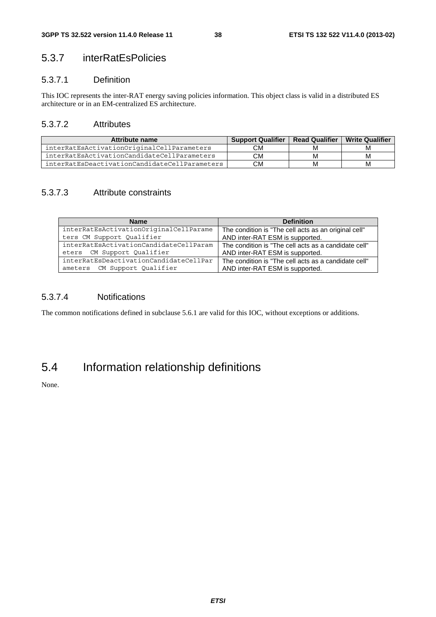### 5.3.7 interRatEsPolicies

#### 5.3.7.1 Definition

This IOC represents the inter-RAT energy saving policies information. This object class is valid in a distributed ES architecture or in an EM-centralized ES architecture.

#### 5.3.7.2 Attributes

| Attribute name                                | <b>Support Qualifier</b> | <b>Read Qualifier</b> | <b>Write Qualifier</b> |
|-----------------------------------------------|--------------------------|-----------------------|------------------------|
| interRatEsActivationOriginalCellParameters    | CМ                       | M                     | M                      |
| interRatEsActivationCandidateCellParameters   | СM                       | М                     | м                      |
| interRatEsDeactivationCandidateCellParameters | СM                       | M                     | м                      |

### 5.3.7.3 Attribute constraints

| <b>Name</b>                            | <b>Definition</b>                                    |
|----------------------------------------|------------------------------------------------------|
| interRatEsActivationOriginalCellParame | The condition is "The cell acts as an original cell" |
| ters CM Support Qualifier              | AND inter-RAT ESM is supported.                      |
| interRatEsActivationCandidateCellParam | The condition is "The cell acts as a candidate cell" |
| eters CM Support Qualifier             | AND inter-RAT ESM is supported.                      |
| interRatEsDeactivationCandidateCellPar | The condition is "The cell acts as a candidate cell" |
| ameters CM Support Qualifier           | AND inter-RAT ESM is supported.                      |

#### 5.3.7.4 Notifications

The common notifications defined in subclause 5.6.1 are valid for this IOC, without exceptions or additions.

# 5.4 Information relationship definitions

None.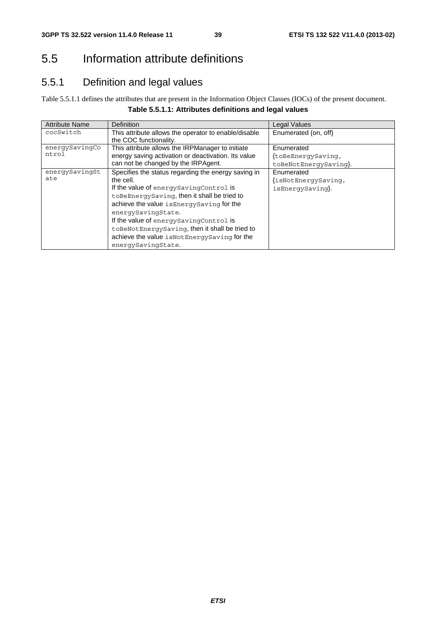# 5.5 Information attribute definitions

# 5.5.1 Definition and legal values

Table 5.5.1.1 defines the attributes that are present in the Information Object Classes (IOCs) of the present document. **Table 5.5.1.1: Attributes definitions and legal values** 

| <b>Attribute Name</b> | Definition                                           | <b>Legal Values</b>   |
|-----------------------|------------------------------------------------------|-----------------------|
| cocSwitch             | This attribute allows the operator to enable/disable | Enumerated {on, off}  |
|                       | the COC functionality.                               |                       |
| energySavingCo        | This attribute allows the IRPManager to initiate     | Enumerated            |
| ntrol                 | energy saving activation or deactivation. Its value  | {toBeEnerqySaving,    |
|                       | can not be changed by the IRPAgent.                  | toBeNotEnergySaving}. |
| energySavingSt        | Specifies the status regarding the energy saving in  | Enumerated            |
| ate                   | the cell.                                            | {isNotEnerqySavinq,   |
|                       | If the value of energy Saving Control is             | isEnergySaving}.      |
|                       | toBeEnergySaving, then it shall be tried to          |                       |
|                       | achieve the value isEnergySaving for the             |                       |
|                       | energySavingState.                                   |                       |
|                       | If the value of energy Saving Control is             |                       |
|                       | toBeNotEnergySaving, then it shall be tried to       |                       |
|                       | achieve the value is Not Energy Saving for the       |                       |
|                       | energySavingState.                                   |                       |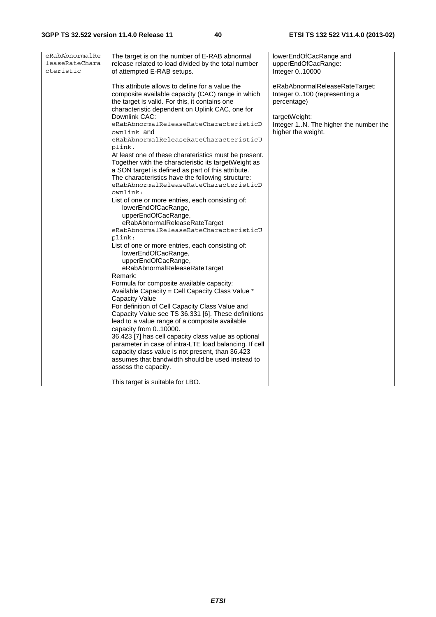| eRabAbnormalRe | The target is on the number of E-RAB abnormal          | lowerEndOfCacRange and                |
|----------------|--------------------------------------------------------|---------------------------------------|
| leaseRateChara | release related to load divided by the total number    | upperEndOfCacRange:                   |
| cteristic      | of attempted E-RAB setups.                             | Integer 010000                        |
|                |                                                        |                                       |
|                | This attribute allows to define for a value the        | eRabAbnormalReleaseRateTarget:        |
|                |                                                        |                                       |
|                | composite available capacity (CAC) range in which      | Integer 0100 (representing a          |
|                | the target is valid. For this, it contains one         | percentage)                           |
|                | characteristic dependent on Uplink CAC, one for        |                                       |
|                | Downlink CAC:                                          | targetWeight:                         |
|                | eRabAbnormalReleaseRateCharacteristicD                 | Integer 1N. The higher the number the |
|                | ownlink <b>and</b>                                     | higher the weight.                    |
|                | eRabAbnormalReleaseRateCharacteristicU                 |                                       |
|                |                                                        |                                       |
|                | plink.                                                 |                                       |
|                | At least one of these charateristics must be present.  |                                       |
|                | Together with the characteristic its targetWeight as   |                                       |
|                | a SON target is defined as part of this attribute.     |                                       |
|                | The characteristics have the following structure:      |                                       |
|                | eRabAbnormalReleaseRateCharacteristicD                 |                                       |
|                | ownlink:                                               |                                       |
|                | List of one or more entries, each consisting of:       |                                       |
|                |                                                        |                                       |
|                | lowerEndOfCacRange,                                    |                                       |
|                | upperEndOfCacRange,                                    |                                       |
|                | eRabAbnormalReleaseRateTarget                          |                                       |
|                | eRabAbnormalReleaseRateCharacteristicU                 |                                       |
|                | plink:                                                 |                                       |
|                | List of one or more entries, each consisting of:       |                                       |
|                | lowerEndOfCacRange,                                    |                                       |
|                | upperEndOfCacRange,                                    |                                       |
|                | eRabAbnormalReleaseRateTarget                          |                                       |
|                |                                                        |                                       |
|                | Remark:                                                |                                       |
|                | Formula for composite available capacity:              |                                       |
|                | Available Capacity = Cell Capacity Class Value *       |                                       |
|                | <b>Capacity Value</b>                                  |                                       |
|                | For definition of Cell Capacity Class Value and        |                                       |
|                | Capacity Value see TS 36.331 [6]. These definitions    |                                       |
|                | lead to a value range of a composite available         |                                       |
|                | capacity from 010000.                                  |                                       |
|                | 36.423 [7] has cell capacity class value as optional   |                                       |
|                |                                                        |                                       |
|                | parameter in case of intra-LTE load balancing. If cell |                                       |
|                | capacity class value is not present, than 36.423       |                                       |
|                | assumes that bandwidth should be used instead to       |                                       |
|                | assess the capacity.                                   |                                       |
|                |                                                        |                                       |
|                | This target is suitable for LBO.                       |                                       |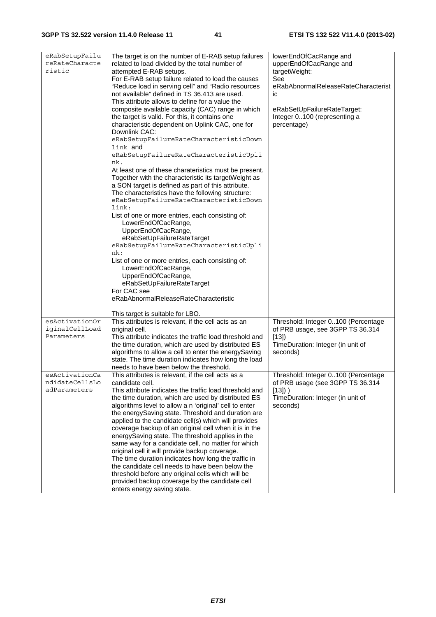| eRabSetupFailu<br>reRateCharacte<br>ristic | The target is on the number of E-RAB setup failures<br>related to load divided by the total number of<br>attempted E-RAB setups.<br>For E-RAB setup failure related to load the causes<br>"Reduce load in serving cell" and "Radio resources<br>not available" defined in TS 36.413 are used.<br>This attribute allows to define for a value the<br>composite available capacity (CAC) range in which<br>the target is valid. For this, it contains one<br>characteristic dependent on Uplink CAC, one for<br>Downlink CAC:<br>eRabSetupFailureRateCharacteristicDown<br>link and<br>eRabSetupFailureRateCharacteristicUpli<br>nk.<br>At least one of these charateristics must be present.<br>Together with the characteristic its targetWeight as<br>a SON target is defined as part of this attribute.<br>The characteristics have the following structure:<br>eRabSetupFailureRateCharacteristicDown<br>link:<br>List of one or more entries, each consisting of:<br>LowerEndOfCacRange,<br>UpperEndOfCacRange,<br>eRabSetUpFailureRateTarget<br>eRabSetupFailureRateCharacteristicUpli<br>nk:<br>List of one or more entries, each consisting of:<br>LowerEndOfCacRange,<br>UpperEndOfCacRange,<br>eRabSetUpFailureRateTarget<br>For CAC see | lowerEndOfCacRange and<br>upperEndOfCacRange and<br>targetWeight:<br>See<br>eRabAbnormalReleaseRateCharacterist<br>ic<br>eRabSetUpFailureRateTarget:<br>Integer 0100 (representing a<br>percentage) |
|--------------------------------------------|---------------------------------------------------------------------------------------------------------------------------------------------------------------------------------------------------------------------------------------------------------------------------------------------------------------------------------------------------------------------------------------------------------------------------------------------------------------------------------------------------------------------------------------------------------------------------------------------------------------------------------------------------------------------------------------------------------------------------------------------------------------------------------------------------------------------------------------------------------------------------------------------------------------------------------------------------------------------------------------------------------------------------------------------------------------------------------------------------------------------------------------------------------------------------------------------------------------------------------------------------|-----------------------------------------------------------------------------------------------------------------------------------------------------------------------------------------------------|
|                                            |                                                                                                                                                                                                                                                                                                                                                                                                                                                                                                                                                                                                                                                                                                                                                                                                                                                                                                                                                                                                                                                                                                                                                                                                                                                   |                                                                                                                                                                                                     |
| esActivationOr                             | This target is suitable for LBO.<br>This attributes is relevant, if the cell acts as an                                                                                                                                                                                                                                                                                                                                                                                                                                                                                                                                                                                                                                                                                                                                                                                                                                                                                                                                                                                                                                                                                                                                                           |                                                                                                                                                                                                     |
| iginalCellLoad                             | original cell.                                                                                                                                                                                                                                                                                                                                                                                                                                                                                                                                                                                                                                                                                                                                                                                                                                                                                                                                                                                                                                                                                                                                                                                                                                    | Threshold: Integer 0100 (Percentage<br>of PRB usage, see 3GPP TS 36.314                                                                                                                             |
| Parameters                                 | This attribute indicates the traffic load threshold and                                                                                                                                                                                                                                                                                                                                                                                                                                                                                                                                                                                                                                                                                                                                                                                                                                                                                                                                                                                                                                                                                                                                                                                           | [13]                                                                                                                                                                                                |
|                                            | the time duration, which are used by distributed ES                                                                                                                                                                                                                                                                                                                                                                                                                                                                                                                                                                                                                                                                                                                                                                                                                                                                                                                                                                                                                                                                                                                                                                                               | TimeDuration: Integer (in unit of                                                                                                                                                                   |
|                                            | algorithms to allow a cell to enter the energySaving                                                                                                                                                                                                                                                                                                                                                                                                                                                                                                                                                                                                                                                                                                                                                                                                                                                                                                                                                                                                                                                                                                                                                                                              | seconds)                                                                                                                                                                                            |
|                                            | state. The time duration indicates how long the load                                                                                                                                                                                                                                                                                                                                                                                                                                                                                                                                                                                                                                                                                                                                                                                                                                                                                                                                                                                                                                                                                                                                                                                              |                                                                                                                                                                                                     |
|                                            | needs to have been below the threshold.                                                                                                                                                                                                                                                                                                                                                                                                                                                                                                                                                                                                                                                                                                                                                                                                                                                                                                                                                                                                                                                                                                                                                                                                           |                                                                                                                                                                                                     |
| esActivationCa<br>ndidateCellsLo           | This attributes is relevant, if the cell acts as a<br>candidate cell.                                                                                                                                                                                                                                                                                                                                                                                                                                                                                                                                                                                                                                                                                                                                                                                                                                                                                                                                                                                                                                                                                                                                                                             | Threshold: Integer 0100 (Percentage<br>of PRB usage (see 3GPP TS 36.314                                                                                                                             |
| adParameters                               | This attribute indicates the traffic load threshold and                                                                                                                                                                                                                                                                                                                                                                                                                                                                                                                                                                                                                                                                                                                                                                                                                                                                                                                                                                                                                                                                                                                                                                                           | $[13])$ )                                                                                                                                                                                           |
|                                            | the time duration, which are used by distributed ES                                                                                                                                                                                                                                                                                                                                                                                                                                                                                                                                                                                                                                                                                                                                                                                                                                                                                                                                                                                                                                                                                                                                                                                               | TimeDuration: Integer (in unit of                                                                                                                                                                   |
|                                            | algorithms level to allow a n 'original' cell to enter                                                                                                                                                                                                                                                                                                                                                                                                                                                                                                                                                                                                                                                                                                                                                                                                                                                                                                                                                                                                                                                                                                                                                                                            | seconds)                                                                                                                                                                                            |
|                                            | the energySaving state. Threshold and duration are                                                                                                                                                                                                                                                                                                                                                                                                                                                                                                                                                                                                                                                                                                                                                                                                                                                                                                                                                                                                                                                                                                                                                                                                |                                                                                                                                                                                                     |
|                                            | applied to the candidate cell(s) which will provides<br>coverage backup of an original cell when it is in the                                                                                                                                                                                                                                                                                                                                                                                                                                                                                                                                                                                                                                                                                                                                                                                                                                                                                                                                                                                                                                                                                                                                     |                                                                                                                                                                                                     |
|                                            | energySaving state. The threshold applies in the                                                                                                                                                                                                                                                                                                                                                                                                                                                                                                                                                                                                                                                                                                                                                                                                                                                                                                                                                                                                                                                                                                                                                                                                  |                                                                                                                                                                                                     |
|                                            | same way for a candidate cell, no matter for which                                                                                                                                                                                                                                                                                                                                                                                                                                                                                                                                                                                                                                                                                                                                                                                                                                                                                                                                                                                                                                                                                                                                                                                                |                                                                                                                                                                                                     |
|                                            | original cell it will provide backup coverage.                                                                                                                                                                                                                                                                                                                                                                                                                                                                                                                                                                                                                                                                                                                                                                                                                                                                                                                                                                                                                                                                                                                                                                                                    |                                                                                                                                                                                                     |
|                                            | The time duration indicates how long the traffic in                                                                                                                                                                                                                                                                                                                                                                                                                                                                                                                                                                                                                                                                                                                                                                                                                                                                                                                                                                                                                                                                                                                                                                                               |                                                                                                                                                                                                     |
|                                            | the candidate cell needs to have been below the                                                                                                                                                                                                                                                                                                                                                                                                                                                                                                                                                                                                                                                                                                                                                                                                                                                                                                                                                                                                                                                                                                                                                                                                   |                                                                                                                                                                                                     |
|                                            | threshold before any original cells which will be<br>provided backup coverage by the candidate cell                                                                                                                                                                                                                                                                                                                                                                                                                                                                                                                                                                                                                                                                                                                                                                                                                                                                                                                                                                                                                                                                                                                                               |                                                                                                                                                                                                     |
|                                            | enters energy saving state.                                                                                                                                                                                                                                                                                                                                                                                                                                                                                                                                                                                                                                                                                                                                                                                                                                                                                                                                                                                                                                                                                                                                                                                                                       |                                                                                                                                                                                                     |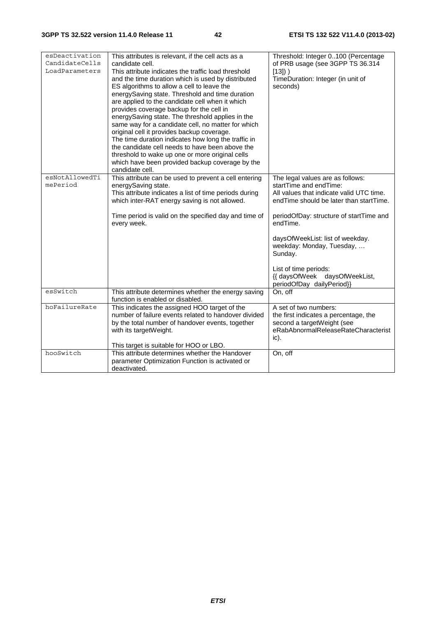| esDeactivation<br>CandidateCells<br>LoadParameters | This attributes is relevant, if the cell acts as a<br>candidate cell.<br>This attribute indicates the traffic load threshold<br>and the time duration which is used by distributed<br>ES algorithms to allow a cell to leave the<br>energySaving state. Threshold and time duration<br>are applied to the candidate cell when it which<br>provides coverage backup for the cell in<br>energySaving state. The threshold applies in the<br>same way for a candidate cell, no matter for which<br>original cell it provides backup coverage.<br>The time duration indicates how long the traffic in<br>the candidate cell needs to have been above the<br>threshold to wake up one or more original cells<br>which have been provided backup coverage by the<br>candidate cell. | Threshold: Integer 0100 (Percentage<br>of PRB usage (see 3GPP TS 36.314<br>$[13]$ )<br>TimeDuration: Integer (in unit of<br>seconds)                                                                                                                                                                                                                                        |
|----------------------------------------------------|-------------------------------------------------------------------------------------------------------------------------------------------------------------------------------------------------------------------------------------------------------------------------------------------------------------------------------------------------------------------------------------------------------------------------------------------------------------------------------------------------------------------------------------------------------------------------------------------------------------------------------------------------------------------------------------------------------------------------------------------------------------------------------|-----------------------------------------------------------------------------------------------------------------------------------------------------------------------------------------------------------------------------------------------------------------------------------------------------------------------------------------------------------------------------|
| esNotAllowedTi<br>mePeriod                         | This attribute can be used to prevent a cell entering<br>energySaving state.<br>This attribute indicates a list of time periods during<br>which inter-RAT energy saving is not allowed.<br>Time period is valid on the specified day and time of<br>every week.                                                                                                                                                                                                                                                                                                                                                                                                                                                                                                               | The legal values are as follows:<br>startTime and endTime:<br>All values that indicate valid UTC time.<br>endTime should be later than startTime.<br>periodOfDay: structure of startTime and<br>endTime.<br>daysOfWeekList: list of weekday.<br>weekday: Monday, Tuesday,<br>Sunday.<br>List of time periods:<br>{{ daysOfWeek daysOfWeekList,<br>periodOfDay dailyPeriod}} |
| esSwitch                                           | This attribute determines whether the energy saving<br>function is enabled or disabled.                                                                                                                                                                                                                                                                                                                                                                                                                                                                                                                                                                                                                                                                                       | On, off                                                                                                                                                                                                                                                                                                                                                                     |
| hoFailureRate                                      | This indicates the assigned HOO target of the<br>number of failure events related to handover divided<br>by the total number of handover events, together<br>with its targetWeight.<br>This target is suitable for HOO or LBO.                                                                                                                                                                                                                                                                                                                                                                                                                                                                                                                                                | A set of two numbers:<br>the first indicates a percentage, the<br>second a targetWeight (see<br>eRabAbnormalReleaseRateCharacterist<br>ic).                                                                                                                                                                                                                                 |
| hooSwitch                                          | This attribute determines whether the Handover<br>parameter Optimization Function is activated or<br>deactivated.                                                                                                                                                                                                                                                                                                                                                                                                                                                                                                                                                                                                                                                             | On, off                                                                                                                                                                                                                                                                                                                                                                     |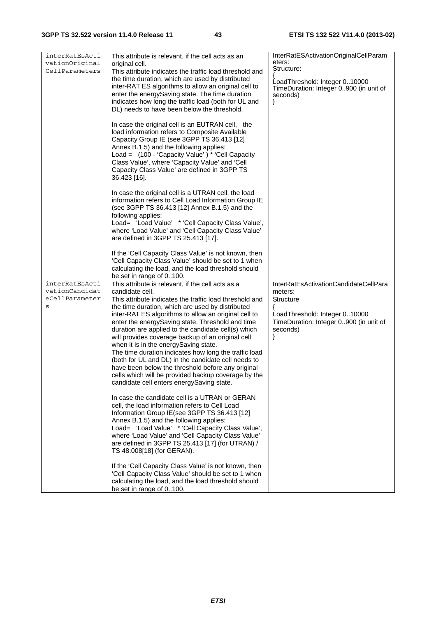| interRatEsActi<br>vationOriginal<br>CellParameters      | This attribute is relevant, if the cell acts as an<br>original cell.<br>This attribute indicates the traffic load threshold and<br>the time duration, which are used by distributed<br>inter-RAT ES algorithms to allow an original cell to<br>enter the energySaving state. The time duration<br>indicates how long the traffic load (both for UL and<br>DL) needs to have been below the threshold.<br>In case the original cell is an EUTRAN cell, the<br>load information refers to Composite Available<br>Capacity Group IE (see 3GPP TS 36.413 [12]<br>Annex B.1.5) and the following applies:<br>Load = (100 - 'Capacity Value') * 'Cell Capacity<br>Class Value', where 'Capacity Value' and 'Cell<br>Capacity Class Value' are defined in 3GPP TS<br>36.423 [16]. | InterRatESActivationOriginalCellParam<br>eters:<br>Structure:<br>LoadThreshold: Integer 010000<br>TimeDuration: Integer 0900 (in unit of<br>seconds)<br>ł      |
|---------------------------------------------------------|----------------------------------------------------------------------------------------------------------------------------------------------------------------------------------------------------------------------------------------------------------------------------------------------------------------------------------------------------------------------------------------------------------------------------------------------------------------------------------------------------------------------------------------------------------------------------------------------------------------------------------------------------------------------------------------------------------------------------------------------------------------------------|----------------------------------------------------------------------------------------------------------------------------------------------------------------|
|                                                         | In case the original cell is a UTRAN cell, the load<br>information refers to Cell Load Information Group IE<br>(see 3GPP TS 36.413 [12] Annex B.1.5) and the<br>following applies:<br>Load= 'Load Value' * 'Cell Capacity Class Value',<br>where 'Load Value' and 'Cell Capacity Class Value'<br>are defined in 3GPP TS 25.413 [17].<br>If the 'Cell Capacity Class Value' is not known, then                                                                                                                                                                                                                                                                                                                                                                              |                                                                                                                                                                |
|                                                         | 'Cell Capacity Class Value' should be set to 1 when<br>calculating the load, and the load threshold should                                                                                                                                                                                                                                                                                                                                                                                                                                                                                                                                                                                                                                                                 |                                                                                                                                                                |
|                                                         | be set in range of 0100.                                                                                                                                                                                                                                                                                                                                                                                                                                                                                                                                                                                                                                                                                                                                                   |                                                                                                                                                                |
| interRatEsActi<br>vationCandidat<br>eCellParameter<br>S | This attribute is relevant, if the cell acts as a<br>candidate cell.<br>This attribute indicates the traffic load threshold and<br>the time duration, which are used by distributed<br>inter-RAT ES algorithms to allow an original cell to<br>enter the energySaving state. Threshold and time<br>duration are applied to the candidate cell(s) which<br>will provides coverage backup of an original cell<br>when it is in the energySaving state.<br>The time duration indicates how long the traffic load<br>(both for UL and DL) in the candidate cell needs to<br>have been below the threshold before any original<br>cells which will be provided backup coverage by the<br>candidate cell enters energySaving state.                                              | InterRatEsActivationCandidateCellPara<br>meters:<br>Structure<br>ſ<br>LoadThreshold: Integer 010000<br>TimeDuration: Integer 0900 (in unit of<br>seconds)<br>ł |
|                                                         | In case the candidate cell is a UTRAN or GERAN<br>cell, the load information refers to Cell Load<br>Information Group IE(see 3GPP TS 36.413 [12]<br>Annex B.1.5) and the following applies:<br>Load= 'Load Value' * 'Cell Capacity Class Value',<br>where 'Load Value' and 'Cell Capacity Class Value'<br>are defined in 3GPP TS 25.413 [17] (for UTRAN) /<br>TS 48.008[18] (for GERAN).                                                                                                                                                                                                                                                                                                                                                                                   |                                                                                                                                                                |
|                                                         | If the 'Cell Capacity Class Value' is not known, then<br>'Cell Capacity Class Value' should be set to 1 when<br>calculating the load, and the load threshold should<br>be set in range of 0100.                                                                                                                                                                                                                                                                                                                                                                                                                                                                                                                                                                            |                                                                                                                                                                |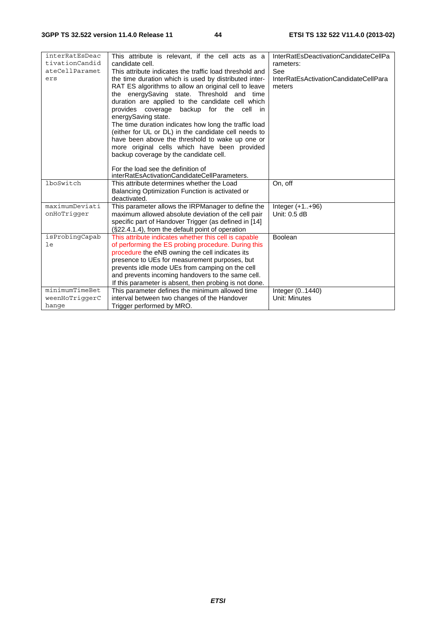| interRatEsDeac | This attribute is relevant, if the cell acts as a                                  | InterRatEsDeactivationCandidateCellPa |
|----------------|------------------------------------------------------------------------------------|---------------------------------------|
| tivationCandid | candidate cell.                                                                    | rameters:                             |
| ateCellParamet | This attribute indicates the traffic load threshold and                            | See                                   |
| ers            | the time duration which is used by distributed inter-                              | InterRatEsActivationCandidateCellPara |
|                | RAT ES algorithms to allow an original cell to leave                               | meters                                |
|                | the energySaving state. Threshold and time                                         |                                       |
|                | duration are applied to the candidate cell which                                   |                                       |
|                | provides coverage backup for the cell in                                           |                                       |
|                | energySaving state.                                                                |                                       |
|                | The time duration indicates how long the traffic load                              |                                       |
|                | (either for UL or DL) in the candidate cell needs to                               |                                       |
|                | have been above the threshold to wake up one or                                    |                                       |
|                | more original cells which have been provided                                       |                                       |
|                | backup coverage by the candidate cell.                                             |                                       |
|                |                                                                                    |                                       |
|                | For the load see the definition of<br>interRatEsActivationCandidateCellParameters. |                                       |
| lboSwitch      | This attribute determines whether the Load                                         | On, off                               |
|                | Balancing Optimization Function is activated or                                    |                                       |
|                | deactivated.                                                                       |                                       |
| maximumDeviati | This parameter allows the IRPManager to define the                                 | Integer $(+1+96)$                     |
| onHoTriqqer    | maximum allowed absolute deviation of the cell pair                                | Unit: 0.5 dB                          |
|                | specific part of Handover Trigger (as defined in [14]                              |                                       |
|                | (§22.4.1.4), from the default point of operation                                   |                                       |
| isProbingCapab | This attribute indicates whether this cell is capable                              | Boolean                               |
| le             | of performing the ES probing procedure. During this                                |                                       |
|                | procedure the eNB owning the cell indicates its                                    |                                       |
|                | presence to UEs for measurement purposes, but                                      |                                       |
|                | prevents idle mode UEs from camping on the cell                                    |                                       |
|                | and prevents incoming handovers to the same cell.                                  |                                       |
|                | If this parameter is absent, then probing is not done.                             |                                       |
| minimumTimeBet | This parameter defines the minimum allowed time                                    | Integer (01440)                       |
| weenHoTriqqerC | interval between two changes of the Handover                                       | Unit: Minutes                         |
| hange          | Trigger performed by MRO.                                                          |                                       |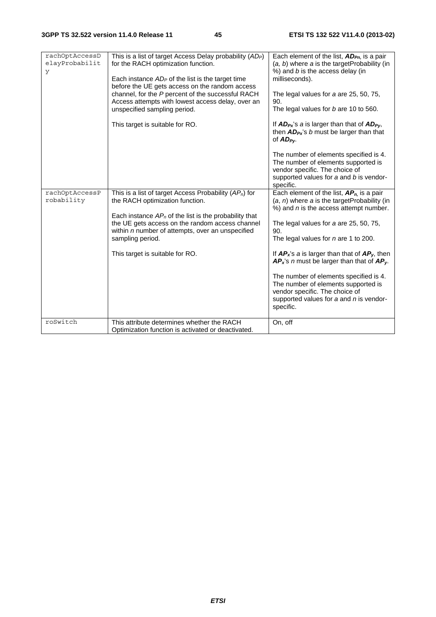| rachOptAccessD<br>elayProbabilit<br>y | This is a list of target Access Delay probability (AD <sub>P</sub> )<br>for the RACH optimization function.<br>Each instance $AD_P$ of the list is the target time<br>before the UE gets access on the random access<br>channel, for the P percent of the successful RACH<br>Access attempts with lowest access delay, over an<br>unspecified sampling period. | Each element of the list, AD <sub>Pn</sub> , is a pair<br>(a, b) where a is the targetProbability (in<br>%) and b is the access delay (in<br>milliseconds).<br>The legal values for a are 25, 50, 75,<br>90.<br>The legal values for b are 10 to 560.                                                                                                                                                                                                                                                                          |
|---------------------------------------|----------------------------------------------------------------------------------------------------------------------------------------------------------------------------------------------------------------------------------------------------------------------------------------------------------------------------------------------------------------|--------------------------------------------------------------------------------------------------------------------------------------------------------------------------------------------------------------------------------------------------------------------------------------------------------------------------------------------------------------------------------------------------------------------------------------------------------------------------------------------------------------------------------|
|                                       | This target is suitable for RO.                                                                                                                                                                                                                                                                                                                                | If $AD_{Px}$ 's a is larger than that of $AD_{Py}$ ,<br>then $AD_{Px}$ 's b must be larger than that<br>of $AD_{PV}$ .<br>The number of elements specified is 4.<br>The number of elements supported is<br>vendor specific. The choice of<br>supported values for a and b is vendor-<br>specific.                                                                                                                                                                                                                              |
| rachOptAccessP<br>robability          | This is a list of target Access Probability $(AP_n)$ for<br>the RACH optimization function.<br>Each instance $AP_n$ of the list is the probability that<br>the UE gets access on the random access channel<br>within $n$ number of attempts, over an unspecified<br>sampling period.<br>This target is suitable for RO.                                        | Each element of the list, $AP_n$ , is a pair<br>$(a, n)$ where a is the target Probability (in<br>%) and <i>n</i> is the access attempt number.<br>The legal values for a are 25, 50, 75,<br>90.<br>The legal values for n are 1 to 200.<br>If $AP_x$ 's a is larger than that of $AP_y$ , then<br>$AP_x$ 's n must be larger than that of $AP_y$ .<br>The number of elements specified is 4.<br>The number of elements supported is<br>vendor specific. The choice of<br>supported values for a and n is vendor-<br>specific. |
| roSwitch                              | This attribute determines whether the RACH<br>Optimization function is activated or deactivated.                                                                                                                                                                                                                                                               | On, off                                                                                                                                                                                                                                                                                                                                                                                                                                                                                                                        |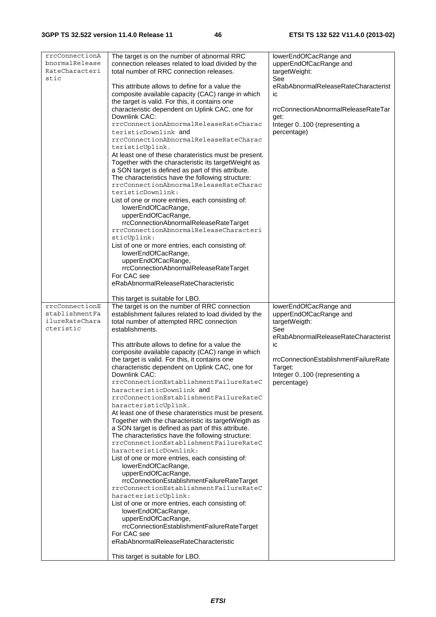| rrcConnectionA<br>bnormalRelease<br>RateCharacteri<br>stic | The target is on the number of abnormal RRC<br>connection releases related to load divided by the<br>total number of RRC connection releases.          | lowerEndOfCacRange and<br>upperEndOfCacRange and<br>targetWeight:<br>See |
|------------------------------------------------------------|--------------------------------------------------------------------------------------------------------------------------------------------------------|--------------------------------------------------------------------------|
|                                                            | This attribute allows to define for a value the<br>composite available capacity (CAC) range in which<br>the target is valid. For this, it contains one | eRabAbnormalReleaseRateCharacterist<br>ic                                |
|                                                            | characteristic dependent on Uplink CAC, one for                                                                                                        | rrcConnectionAbnormalReleaseRateTar                                      |
|                                                            | Downlink CAC:<br>rrcConnectionAbnormalReleaseRateCharac                                                                                                | get:<br>Integer 0100 (representing a                                     |
|                                                            | teristicDownlink and<br>rrcConnectionAbnormalReleaseRateCharac                                                                                         | percentage)                                                              |
|                                                            | teristicUplink.<br>At least one of these charateristics must be present.                                                                               |                                                                          |
|                                                            | Together with the characteristic its targetWeight as                                                                                                   |                                                                          |
|                                                            | a SON target is defined as part of this attribute.<br>The characteristics have the following structure:                                                |                                                                          |
|                                                            | rrcConnectionAbnormalReleaseRateCharac<br>teristicDownlink:                                                                                            |                                                                          |
|                                                            | List of one or more entries, each consisting of:<br>lowerEndOfCacRange,                                                                                |                                                                          |
|                                                            | upperEndOfCacRange,<br>rrcConnectionAbnormalReleaseRateTarget                                                                                          |                                                                          |
|                                                            | rrcConnectionAbnormalReleaseCharacteri<br>sticUplink:                                                                                                  |                                                                          |
|                                                            | List of one or more entries, each consisting of:<br>lowerEndOfCacRange,                                                                                |                                                                          |
|                                                            | upperEndOfCacRange,<br>rrcConnectionAbnormalReleaseRateTarget                                                                                          |                                                                          |
|                                                            | For CAC see                                                                                                                                            |                                                                          |
|                                                            | eRabAbnormalReleaseRateCharacteristic                                                                                                                  |                                                                          |
|                                                            | This target is suitable for LBO.                                                                                                                       |                                                                          |
|                                                            |                                                                                                                                                        |                                                                          |
| rrcConnectionE<br>stablishmentFa                           | The target is on the number of RRC connection<br>establishment failures related to load divided by the                                                 | lowerEndOfCacRange and<br>upperEndOfCacRange and                         |
| ilureRateChara<br>cteristic                                | total number of attempted RRC connection                                                                                                               | targetWeigth:                                                            |
|                                                            | establishments.                                                                                                                                        | See<br>eRabAbnormalReleaseRateCharacterist                               |
|                                                            | This attribute allows to define for a value the<br>composite available capacity (CAC) range in which                                                   | ic                                                                       |
|                                                            | the target is valid. For this, it contains one<br>characteristic dependent on Uplink CAC, one for                                                      | rrcConnectionEstablishmentFailureRate<br>Target:                         |
|                                                            | Downlink CAC:<br>rrcConnectionEstablishmentFailureRateC                                                                                                | Integer 0100 (representing a                                             |
|                                                            | haracteristicDownlink and                                                                                                                              | percentage)                                                              |
|                                                            | rrcConnectionEstablishmentFailureRateC<br>haracteristicUplink.                                                                                         |                                                                          |
|                                                            | At least one of these charateristics must be present.<br>Together with the characteristic its targetWeigth as                                          |                                                                          |
|                                                            | a SON target is defined as part of this attribute.<br>The characteristics have the following structure:                                                |                                                                          |
|                                                            | rrcConnectionEstablishmentFailureRateC<br>haracteristicDownlink:                                                                                       |                                                                          |
|                                                            | List of one or more entries, each consisting of:                                                                                                       |                                                                          |
|                                                            | lowerEndOfCacRange,<br>upperEndOfCacRange,                                                                                                             |                                                                          |
|                                                            | rrcConnectionEstablishmentFailureRateTarget<br>rrcConnectionEstablishmentFailureRateC                                                                  |                                                                          |
|                                                            | haracteristicUplink:<br>List of one or more entries, each consisting of:                                                                               |                                                                          |
|                                                            | lowerEndOfCacRange,<br>upperEndOfCacRange,                                                                                                             |                                                                          |
|                                                            | rrcConnectionEstablishmentFailureRateTarget<br>For CAC see                                                                                             |                                                                          |
|                                                            | eRabAbnormalReleaseRateCharacteristic<br>This target is suitable for LBO.                                                                              |                                                                          |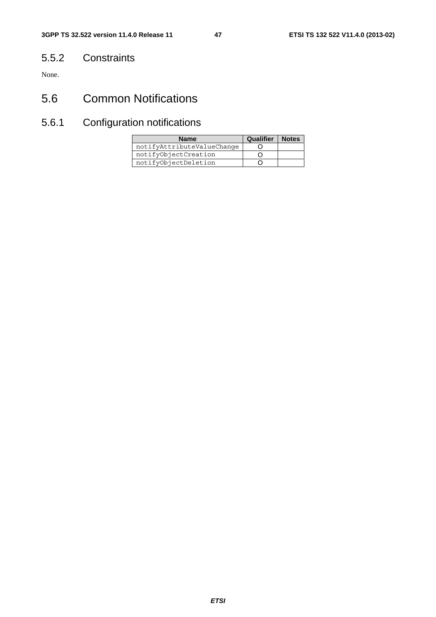### 5.5.2 Constraints

None.

# 5.6 Common Notifications

# 5.6.1 Configuration notifications

| <b>Name</b>                | <b>Qualifier</b> | <b>Notes</b> |
|----------------------------|------------------|--------------|
| notifyAttributeValueChange |                  |              |
| notifyObjectCreation       |                  |              |
| notifyObjectDeletion       |                  |              |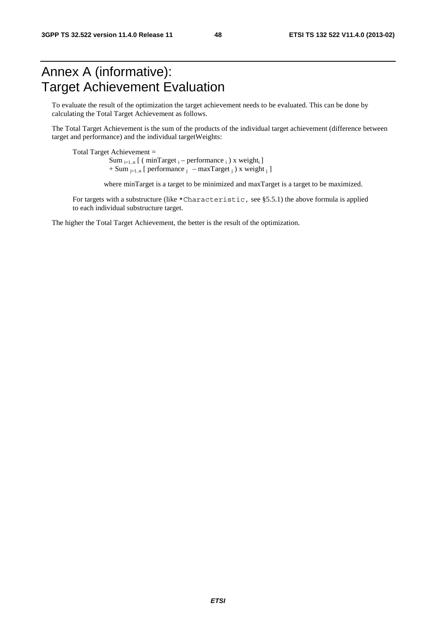# Annex A (informative): Target Achievement Evaluation

To evaluate the result of the optimization the target achievement needs to be evaluated. This can be done by calculating the Total Target Achievement as follows.

The Total Target Achievement is the sum of the products of the individual target achievement (difference between target and performance) and the individual targetWeights:

Total Target Achievement = Sum  $_{i=1..n}$  [ ( minTarget  $_i$  – performance  $_i$  ) x weight $_i$  ]  $+$  Sum  $_{i=1..n}$  [ performance  $_i$  – maxTarget  $_i$  ) x weight  $_i$  ]

where minTarget is a target to be minimized and maxTarget is a target to be maximized.

For targets with a substructure (like \*Characteristic, see §5.5.1) the above formula is applied to each individual substructure target.

The higher the Total Target Achievement, the better is the result of the optimization.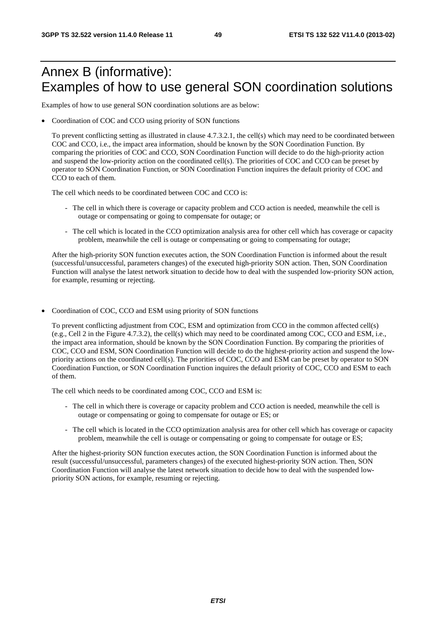# Annex B (informative): Examples of how to use general SON coordination solutions

Examples of how to use general SON coordination solutions are as below:

• Coordination of COC and CCO using priority of SON functions

To prevent conflicting setting as illustrated in clause 4.7.3.2.1, the cell(s) which may need to be coordinated between COC and CCO, i.e., the impact area information, should be known by the SON Coordination Function. By comparing the priorities of COC and CCO, SON Coordination Function will decide to do the high-priority action and suspend the low-priority action on the coordinated cell(s). The priorities of COC and CCO can be preset by operator to SON Coordination Function, or SON Coordination Function inquires the default priority of COC and CCO to each of them.

The cell which needs to be coordinated between COC and CCO is:

- The cell in which there is coverage or capacity problem and CCO action is needed, meanwhile the cell is outage or compensating or going to compensate for outage; or
- The cell which is located in the CCO optimization analysis area for other cell which has coverage or capacity problem, meanwhile the cell is outage or compensating or going to compensating for outage;

After the high-priority SON function executes action, the SON Coordination Function is informed about the result (successful/unsuccessful, parameters changes) of the executed high-priority SON action. Then, SON Coordination Function will analyse the latest network situation to decide how to deal with the suspended low-priority SON action, for example, resuming or rejecting.

• Coordination of COC, CCO and ESM using priority of SON functions

To prevent conflicting adjustment from COC, ESM and optimization from CCO in the common affected cell(s) (e.g., Cell 2 in the Figure 4.7.3.2), the cell(s) which may need to be coordinated among COC, CCO and ESM, i.e., the impact area information, should be known by the SON Coordination Function. By comparing the priorities of COC, CCO and ESM, SON Coordination Function will decide to do the highest-priority action and suspend the lowpriority actions on the coordinated cell(s). The priorities of COC, CCO and ESM can be preset by operator to SON Coordination Function, or SON Coordination Function inquires the default priority of COC, CCO and ESM to each of them.

The cell which needs to be coordinated among COC, CCO and ESM is:

- The cell in which there is coverage or capacity problem and CCO action is needed, meanwhile the cell is outage or compensating or going to compensate for outage or ES; or
- The cell which is located in the CCO optimization analysis area for other cell which has coverage or capacity problem, meanwhile the cell is outage or compensating or going to compensate for outage or ES;

After the highest-priority SON function executes action, the SON Coordination Function is informed about the result (successful/unsuccessful, parameters changes) of the executed highest-priority SON action. Then, SON Coordination Function will analyse the latest network situation to decide how to deal with the suspended lowpriority SON actions, for example, resuming or rejecting.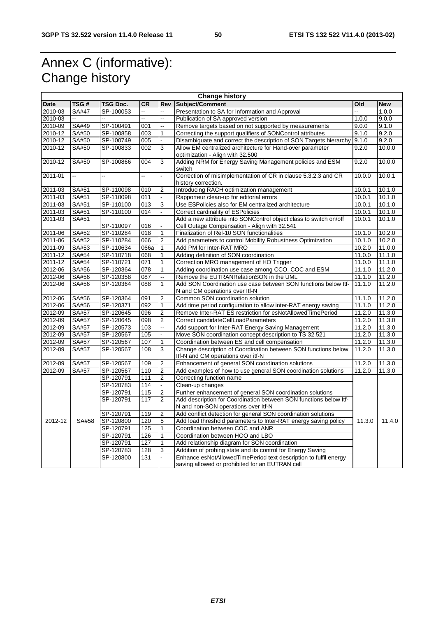# Annex C (informative): Change history

| <b>Change history</b> |              |                 |           |                |                                                                                                          |        |            |  |
|-----------------------|--------------|-----------------|-----------|----------------|----------------------------------------------------------------------------------------------------------|--------|------------|--|
| <b>Date</b>           | TSG#         | <b>TSG Doc.</b> | <b>CR</b> | <b>Rev</b>     | Subject/Comment                                                                                          | Old    | <b>New</b> |  |
| 2010-03               | <b>SA#47</b> | SP-100053       | u,        |                | Presentation to SA for Information and Approval                                                          |        | 1.0.0      |  |
| 2010-03               | ш.           | щ.              | ц,        |                | Publication of SA approved version                                                                       | 1.0.0  | 9.0.0      |  |
| 2010-09               | SA#49        | SP-100491       | 001       |                | Remove targets based on not supported by measurements                                                    | 9.0.0  | 9.1.0      |  |
| 2010-12               | SA#50        | SP-100858       | 003       | 1              | Correcting the support qualifiers of SONControl attributes                                               | 9.1.0  | 9.2.0      |  |
| 2010-12               | SA#50        | SP-100749       | 005       |                | Disambiguate and correct the description of SON Targets hierarchy                                        | 9.1.0  | 9.2.0      |  |
| 2010-12               | SA#50        | SP-100833       | 002       | 3              | Allow EM centralized architecture for Hand-over parameter                                                | 9.2.0  | 10.0.0     |  |
|                       |              |                 |           |                | optimization - Align with 32.500                                                                         |        |            |  |
| 2010-12               | SA#50        | SP-100866       | 004       | 3              | Adding NRM for Energy Saving Management policies and ESM<br>switch                                       | 9.2.0  | 10.0.0     |  |
| 2011-01               | u.           | цú.             | цú.       |                | Correction of misimplementation of CR in clause 5.3.2.3 and CR                                           | 10.0.0 | 10.0.1     |  |
|                       |              |                 |           |                | history correction.                                                                                      |        |            |  |
| 2011-03               | SA#51        | SP-110098       | 010       | 2              | Introducing RACH optimization management                                                                 | 10.0.1 | 10.1.0     |  |
| 2011-03               | SA#51        | SP-110098       | 011       |                | Rapporteur clean-up for editorial errors                                                                 | 10.0.1 | 10.1.0     |  |
| 2011-03               | SA#51        | SP-110100       | 013       | 3              | Use ESPolicies also for EM centralized architecture                                                      | 10.0.1 | 10.1.0     |  |
| 2011-03               | SA#51        | SP-110100       | 014       |                | Correct cardinality of ESPolicies                                                                        | 10.0.1 | 10.1.0     |  |
| 2011-03               | SA#51        |                 |           |                | Add a new attribute into SONControl object class to switch on/off                                        | 10.0.1 | 10.1.0     |  |
|                       |              | SP-110097       | 016       |                | Cell Outage Compensation - Align with 32.541                                                             |        |            |  |
| 2011-06               | SA#52        | SP-110284       | 018       | 1              | Finalization of Rel-10 SON functionalities                                                               | 10.1.0 | 10.2.0     |  |
| 2011-06               | SA#52        | SP-110284       | 066       | 2              | Add parameters to control Mobility Robustness Optimization                                               | 10.1.0 | 10.2.0     |  |
| 2011-09               | SA#53        | SP-110634       | 066a      | 1              | Add PM for Inter-RAT MRO                                                                                 | 10.2.0 | 11.0.0     |  |
| 2011-12               | SA#54        | SP-110718       | 068       |                | Adding definition of SON coordination                                                                    | 11.0.0 | 11.1.0     |  |
| 2011-12               | SA#54        | SP-110721       | 071       | 1              | Correction MRO management of HO Trigger                                                                  | 11.0.0 | 11.1.0     |  |
| 2012-06               | SA#56        | SP-120364       | 078       | 1              | Adding coordination use case among CCO, COC and ESM                                                      | 11.1.0 | 11.2.0     |  |
| 2012-06               | SA#56        | SP-120358       | 087       | Ц.             | Remove the EUTRANRelationSON in the UML                                                                  | 11.1.0 | 11.2.0     |  |
| 2012-06               | SA#56        | SP-120364       | 088       | 1              | Add SON Coordination use case between SON functions below Itf-<br>N and CM operations over Itf-N         | 11.1.0 | 11.2.0     |  |
| 2012-06               | SA#56        | SP-120364       | 091       | $\overline{2}$ | Common SON coordination solution                                                                         | 11.1.0 | 11.2.0     |  |
| 2012-06               | SA#56        | SP-120371       | 092       | 1              | Add time period configuration to allow inter-RAT energy saving                                           | 11.1.0 | 11.2.0     |  |
| 2012-09               | SA#57        | SP-120645       | 096       | 2              | Remove Inter-RAT ES restriction for esNotAllowedTimePeriod                                               | 11.2.0 | 11.3.0     |  |
| 2012-09               | SA#57        | SP-120645       | 098       | 2              | Correct candidateCellLoadParameters                                                                      | 11.2.0 | 11.3.0     |  |
| 2012-09               | <b>SA#57</b> | SP-120573       | 103       |                | Add support for Inter-RAT Energy Saving Management                                                       | 11.2.0 | 11.3.0     |  |
| 2012-09               | SA#57        | SP-120567       | 105       |                | Move SON coordination concept description to TS 32.521                                                   | 11.2.0 | 11.3.0     |  |
| 2012-09               | SA#57        | SP-120567       | 107       | 1              | Coordination between ES and cell compensation                                                            | 11.2.0 | 11.3.0     |  |
| 2012-09               | SA#57        | SP-120567       | 108       | 3              | Change description of Coordination between SON functions below                                           | 11.2.0 | 11.3.0     |  |
|                       |              |                 |           |                | Itf-N and CM operations over itf-N                                                                       |        |            |  |
| 2012-09               | SA#57        | SP-120567       | 109       | 2              | Enhancement of general SON coordination solutions                                                        | 11.2.0 | 11.3.0     |  |
| 2012-09               | SA#57        | SP-120567       | 110       | $\overline{2}$ | Add examples of how to use general SON coordination solutions                                            | 11.2.0 | 11.3.0     |  |
|                       |              | SP-120791       | 111       | 2              | Correcting function name                                                                                 |        |            |  |
|                       |              | SP-120783       | 114       |                | Clean-up changes                                                                                         |        |            |  |
|                       |              | SP-120791       | 115       | 2              | Further enhancement of general SON coordination solutions                                                |        |            |  |
|                       |              | SP-120791       | 117       | $\overline{2}$ | Add description for Coordination between SON functions below Itf-<br>N and non-SON operations over Itf-N |        |            |  |
|                       |              | SP-120791       | 119       | 2              | Add conflict detection for general SON coordination solutions                                            |        |            |  |
| 2012-12               | SA#58        | SP-120800       | 120       | 5              | Add load threshold parameters to Inter-RAT energy saving policy                                          | 11.3.0 | 11.4.0     |  |
|                       |              | SP-120791       | 125       | 1              | Coordination between COC and ANR                                                                         |        |            |  |
|                       |              | SP-120791       | 126       | 1              | Coordination between HOO and LBO                                                                         |        |            |  |
|                       |              | SP-120791       | 127       | 1              | Add relationship diagram for SON coordination                                                            |        |            |  |
|                       |              | SP-120783       | 128       | 3              | Addition of probing state and its control for Energy Saving                                              |        |            |  |
|                       |              | SP-120800       | 131       |                | Enhance esNotAllowedTimePeriod text description to fulfil energy                                         |        |            |  |
|                       |              |                 |           |                | saving allowed or prohibited for an EUTRAN cell                                                          |        |            |  |